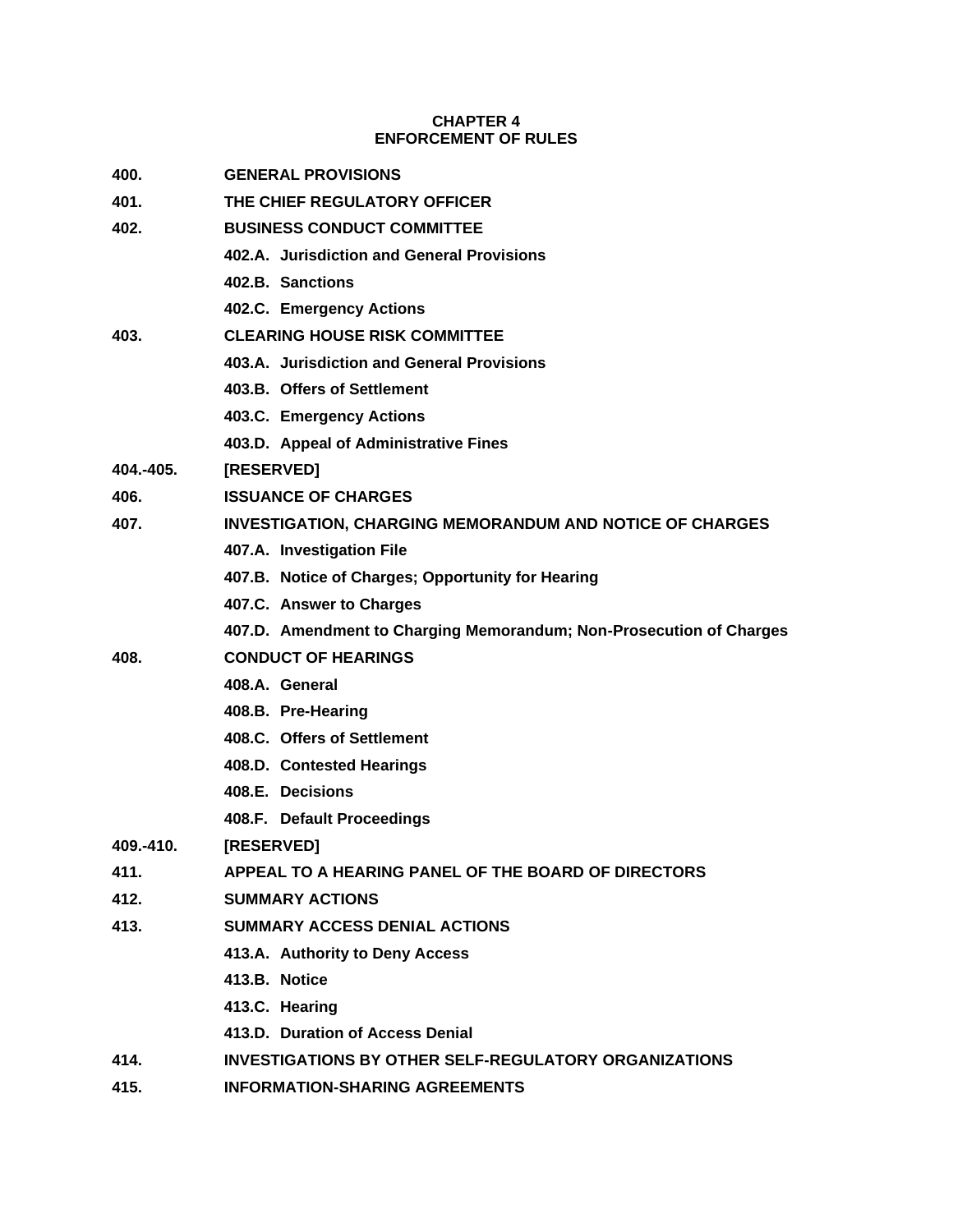# **CHAPTER 4 ENFORCEMENT OF RULES**

| 400.      | <b>GENERAL PROVISIONS</b>                                           |
|-----------|---------------------------------------------------------------------|
| 401.      | THE CHIEF REGULATORY OFFICER                                        |
| 402.      | <b>BUSINESS CONDUCT COMMITTEE</b>                                   |
|           | 402.A. Jurisdiction and General Provisions                          |
|           | 402.B. Sanctions                                                    |
|           | 402.C. Emergency Actions                                            |
| 403.      | <b>CLEARING HOUSE RISK COMMITTEE</b>                                |
|           | 403.A. Jurisdiction and General Provisions                          |
|           | 403.B. Offers of Settlement                                         |
|           | 403.C. Emergency Actions                                            |
|           | 403.D. Appeal of Administrative Fines                               |
| 404.-405. | [RESERVED]                                                          |
| 406.      | <b>ISSUANCE OF CHARGES</b>                                          |
| 407.      | <b>INVESTIGATION, CHARGING MEMORANDUM AND NOTICE OF CHARGES</b>     |
|           | 407.A. Investigation File                                           |
|           | 407.B. Notice of Charges; Opportunity for Hearing                   |
|           | 407.C. Answer to Charges                                            |
|           | 407.D. Amendment to Charging Memorandum; Non-Prosecution of Charges |
| 408.      | <b>CONDUCT OF HEARINGS</b>                                          |
|           | 408.A. General                                                      |
|           | 408.B. Pre-Hearing                                                  |
|           | 408.C. Offers of Settlement                                         |
|           | 408.D. Contested Hearings                                           |
|           | 408.E. Decisions                                                    |
|           | 408.F. Default Proceedings                                          |
| 409.-410. | <b>IRESERVEDI</b>                                                   |
| 411.      | APPEAL TO A HEARING PANEL OF THE BOARD OF DIRECTORS                 |
| 412.      | <b>SUMMARY ACTIONS</b>                                              |
| 413.      | <b>SUMMARY ACCESS DENIAL ACTIONS</b>                                |
|           | 413.A. Authority to Deny Access                                     |
|           | 413.B. Notice                                                       |
|           | 413.C. Hearing                                                      |
|           | 413.D. Duration of Access Denial                                    |
| 414.      | <b>INVESTIGATIONS BY OTHER SELF-REGULATORY ORGANIZATIONS</b>        |
| 415.      | <b>INFORMATION-SHARING AGREEMENTS</b>                               |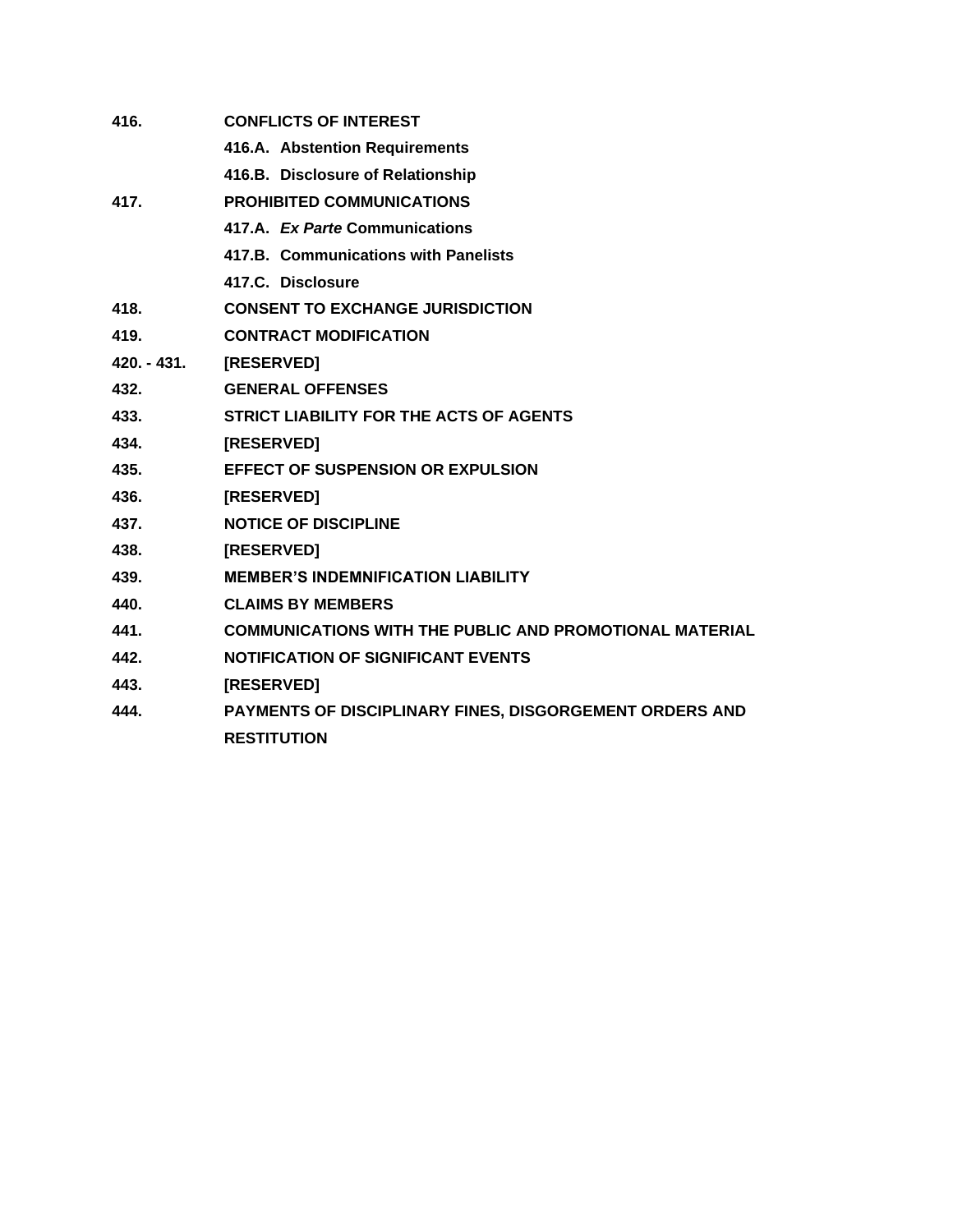| 416.          | <b>CONFLICTS OF INTEREST</b>                                   |
|---------------|----------------------------------------------------------------|
|               | 416.A. Abstention Requirements                                 |
|               | 416.B. Disclosure of Relationship                              |
| 417.          | <b>PROHIBITED COMMUNICATIONS</b>                               |
|               | 417.A. Ex Parte Communications                                 |
|               | 417.B. Communications with Panelists                           |
|               | 417.C. Disclosure                                              |
| 418.          | <b>CONSENT TO EXCHANGE JURISDICTION</b>                        |
| 419.          | <b>CONTRACT MODIFICATION</b>                                   |
| $420. - 431.$ | <b>[RESERVED]</b>                                              |
| 432.          | <b>GENERAL OFFENSES</b>                                        |
| 433.          | <b>STRICT LIABILITY FOR THE ACTS OF AGENTS</b>                 |
| 434.          | [RESERVED]                                                     |
| 435.          | <b>EFFECT OF SUSPENSION OR EXPULSION</b>                       |
| 436.          | [RESERVED]                                                     |
| 437.          | <b>NOTICE OF DISCIPLINE</b>                                    |
| 438.          | [RESERVED]                                                     |
| 439.          | <b>MEMBER'S INDEMNIFICATION LIABILITY</b>                      |
| 440.          | <b>CLAIMS BY MEMBERS</b>                                       |
| 441.          | <b>COMMUNICATIONS WITH THE PUBLIC AND PROMOTIONAL MATERIAL</b> |
| 442.          | <b>NOTIFICATION OF SIGNIFICANT EVENTS</b>                      |
| 443.          | [RESERVED]                                                     |
| 444.          | PAYMENTS OF DISCIPLINARY FINES, DISGORGEMENT ORDERS AND        |
|               | <b>RESTITUTION</b>                                             |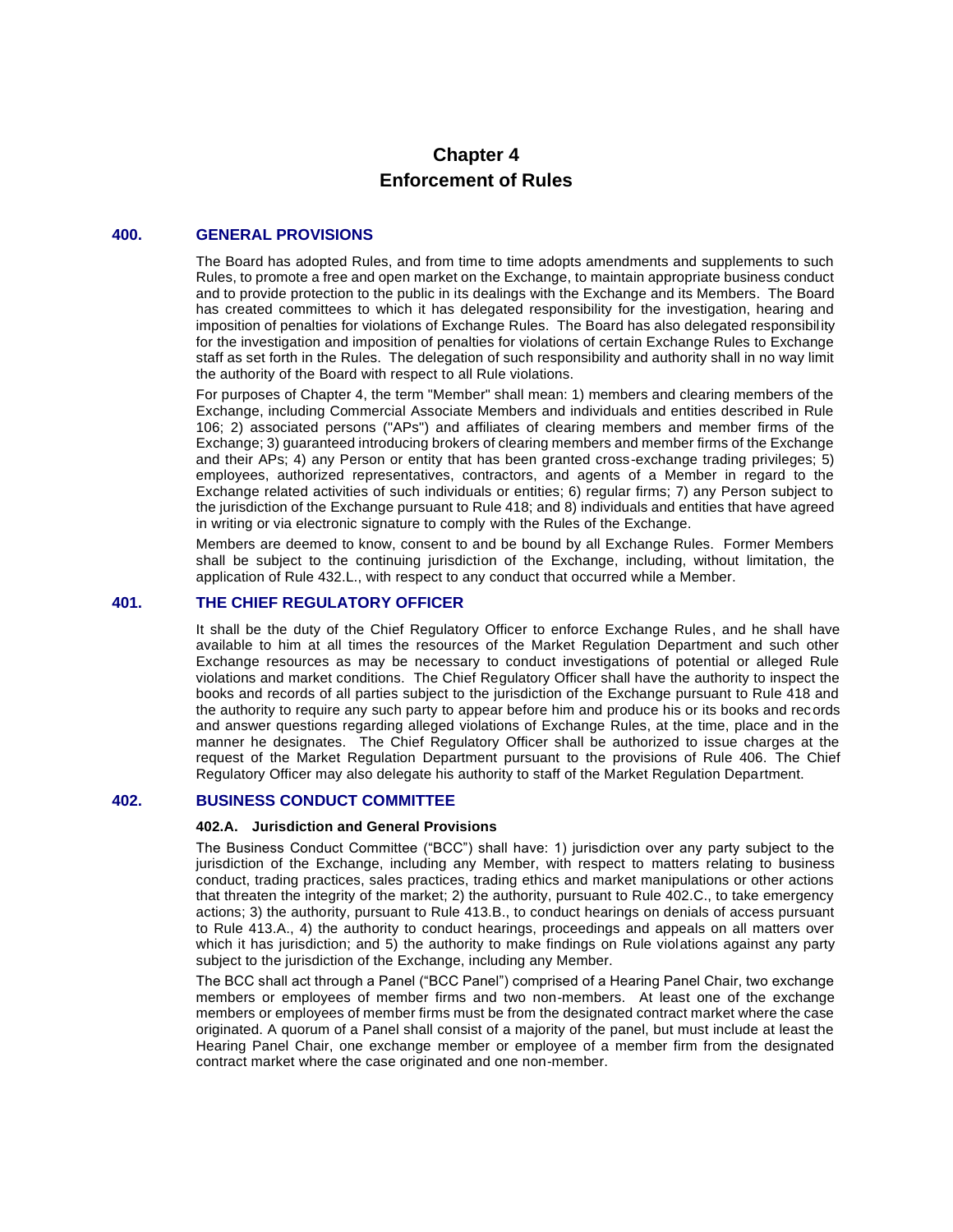# **Chapter 4 Enforcement of Rules**

# **400. GENERAL PROVISIONS**

The Board has adopted Rules, and from time to time adopts amendments and supplements to such Rules, to promote a free and open market on the Exchange, to maintain appropriate business conduct and to provide protection to the public in its dealings with the Exchange and its Members. The Board has created committees to which it has delegated responsibility for the investigation, hearing and imposition of penalties for violations of Exchange Rules. The Board has also delegated responsibility for the investigation and imposition of penalties for violations of certain Exchange Rules to Exchange staff as set forth in the Rules. The delegation of such responsibility and authority shall in no way limit the authority of the Board with respect to all Rule violations.

For purposes of Chapter 4, the term "Member" shall mean: 1) members and clearing members of the Exchange, including Commercial Associate Members and individuals and entities described in Rule 106; 2) associated persons ("APs") and affiliates of clearing members and member firms of the Exchange; 3) guaranteed introducing brokers of clearing members and member firms of the Exchange and their APs; 4) any Person or entity that has been granted cross-exchange trading privileges; 5) employees, authorized representatives, contractors, and agents of a Member in regard to the Exchange related activities of such individuals or entities; 6) regular firms; 7) any Person subject to the jurisdiction of the Exchange pursuant to Rule 418; and 8) individuals and entities that have agreed in writing or via electronic signature to comply with the Rules of the Exchange.

Members are deemed to know, consent to and be bound by all Exchange Rules. Former Members shall be subject to the continuing jurisdiction of the Exchange, including, without limitation, the application of Rule 432.L., with respect to any conduct that occurred while a Member.

#### **401. THE CHIEF REGULATORY OFFICER**

It shall be the duty of the Chief Regulatory Officer to enforce Exchange Rules, and he shall have available to him at all times the resources of the Market Regulation Department and such other Exchange resources as may be necessary to conduct investigations of potential or alleged Rule violations and market conditions. The Chief Regulatory Officer shall have the authority to inspect the books and records of all parties subject to the jurisdiction of the Exchange pursuant to Rule 418 and the authority to require any such party to appear before him and produce his or its books and records and answer questions regarding alleged violations of Exchange Rules, at the time, place and in the manner he designates. The Chief Regulatory Officer shall be authorized to issue charges at the request of the Market Regulation Department pursuant to the provisions of Rule 406. The Chief Regulatory Officer may also delegate his authority to staff of the Market Regulation Department.

# **402. BUSINESS CONDUCT COMMITTEE**

#### **402.A. Jurisdiction and General Provisions**

The Business Conduct Committee ("BCC") shall have: 1) jurisdiction over any party subject to the jurisdiction of the Exchange, including any Member, with respect to matters relating to business conduct, trading practices, sales practices, trading ethics and market manipulations or other actions that threaten the integrity of the market; 2) the authority, pursuant to Rule 402.C., to take emergency actions; 3) the authority, pursuant to Rule 413.B., to conduct hearings on denials of access pursuant to Rule 413.A., 4) the authority to conduct hearings, proceedings and appeals on all matters over which it has jurisdiction; and 5) the authority to make findings on Rule violations against any party subject to the jurisdiction of the Exchange, including any Member.

The BCC shall act through a Panel ("BCC Panel") comprised of a Hearing Panel Chair, two exchange members or employees of member firms and two non-members. At least one of the exchange members or employees of member firms must be from the designated contract market where the case originated. A quorum of a Panel shall consist of a majority of the panel, but must include at least the Hearing Panel Chair, one exchange member or employee of a member firm from the designated contract market where the case originated and one non-member.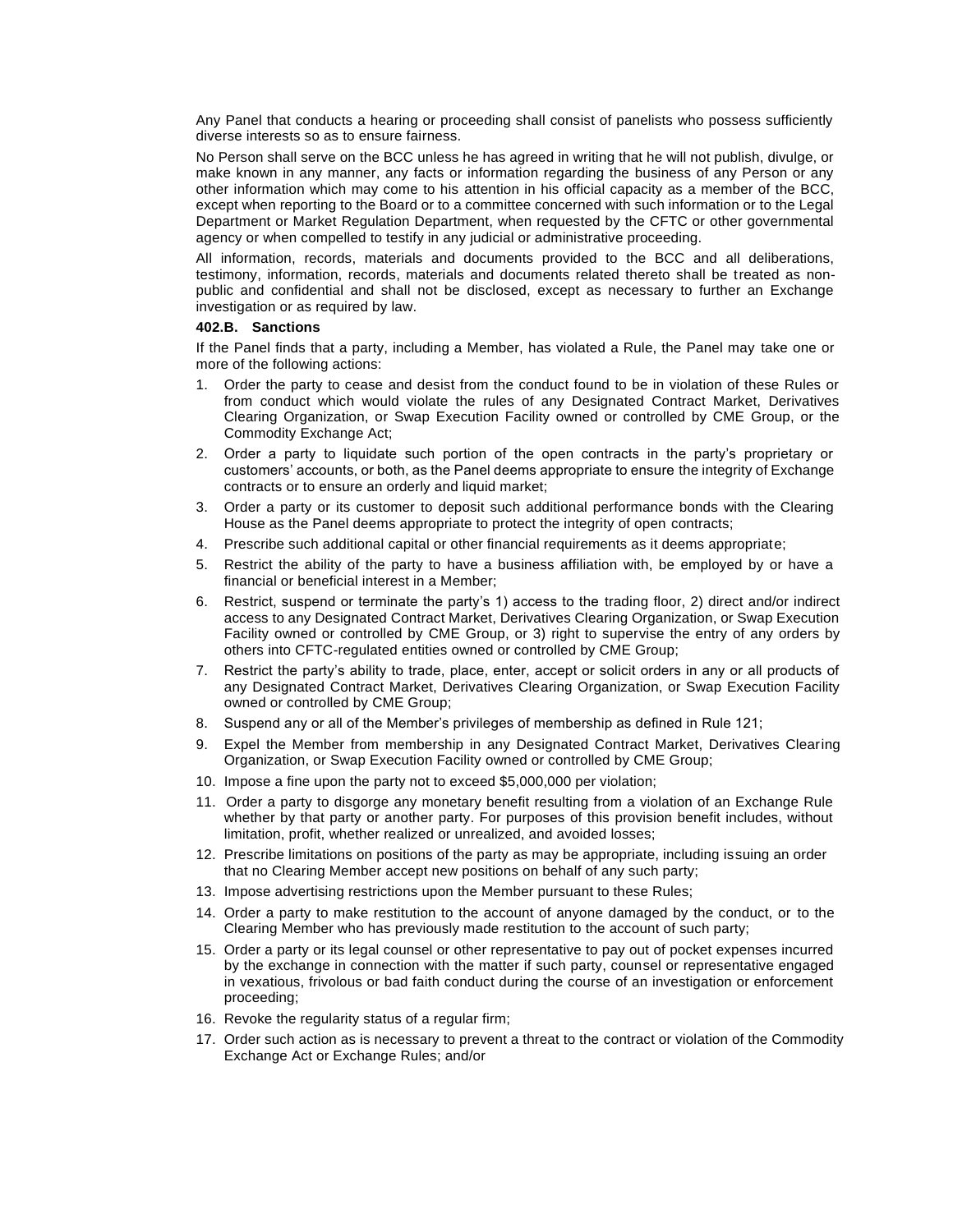Any Panel that conducts a hearing or proceeding shall consist of panelists who possess sufficiently diverse interests so as to ensure fairness.

No Person shall serve on the BCC unless he has agreed in writing that he will not publish, divulge, or make known in any manner, any facts or information regarding the business of any Person or any other information which may come to his attention in his official capacity as a member of the BCC, except when reporting to the Board or to a committee concerned with such information or to the Legal Department or Market Regulation Department, when requested by the CFTC or other governmental agency or when compelled to testify in any judicial or administrative proceeding.

All information, records, materials and documents provided to the BCC and all deliberations, testimony, information, records, materials and documents related thereto shall be treated as nonpublic and confidential and shall not be disclosed, except as necessary to further an Exchange investigation or as required by law.

#### **402.B. Sanctions**

If the Panel finds that a party, including a Member, has violated a Rule, the Panel may take one or more of the following actions:

- 1. Order the party to cease and desist from the conduct found to be in violation of these Rules or from conduct which would violate the rules of any Designated Contract Market, Derivatives Clearing Organization, or Swap Execution Facility owned or controlled by CME Group, or the Commodity Exchange Act;
- 2. Order a party to liquidate such portion of the open contracts in the party's proprietary or customers' accounts, or both, as the Panel deems appropriate to ensure the integrity of Exchange contracts or to ensure an orderly and liquid market;
- 3. Order a party or its customer to deposit such additional performance bonds with the Clearing House as the Panel deems appropriate to protect the integrity of open contracts;
- 4. Prescribe such additional capital or other financial requirements as it deems appropriate;
- 5. Restrict the ability of the party to have a business affiliation with, be employed by or have a financial or beneficial interest in a Member;
- 6. Restrict, suspend or terminate the party's 1) access to the trading floor, 2) direct and/or indirect access to any Designated Contract Market, Derivatives Clearing Organization, or Swap Execution Facility owned or controlled by CME Group, or 3) right to supervise the entry of any orders by others into CFTC-regulated entities owned or controlled by CME Group;
- 7. Restrict the party's ability to trade, place, enter, accept or solicit orders in any or all products of any Designated Contract Market, Derivatives Clearing Organization, or Swap Execution Facility owned or controlled by CME Group;
- 8. Suspend any or all of the Member's privileges of membership as defined in Rule 121;
- 9. Expel the Member from membership in any Designated Contract Market, Derivatives Clearing Organization, or Swap Execution Facility owned or controlled by CME Group;
- 10. Impose a fine upon the party not to exceed \$5,000,000 per violation;
- 11. Order a party to disgorge any monetary benefit resulting from a violation of an Exchange Rule whether by that party or another party. For purposes of this provision benefit includes, without limitation, profit, whether realized or unrealized, and avoided losses;
- 12. Prescribe limitations on positions of the party as may be appropriate, including issuing an order that no Clearing Member accept new positions on behalf of any such party;
- 13. Impose advertising restrictions upon the Member pursuant to these Rules;
- 14. Order a party to make restitution to the account of anyone damaged by the conduct, or to the Clearing Member who has previously made restitution to the account of such party;
- 15. Order a party or its legal counsel or other representative to pay out of pocket expenses incurred by the exchange in connection with the matter if such party, counsel or representative engaged in vexatious, frivolous or bad faith conduct during the course of an investigation or enforcement proceeding;
- 16. Revoke the regularity status of a regular firm;
- 17. Order such action as is necessary to prevent a threat to the contract or violation of the Commodity Exchange Act or Exchange Rules; and/or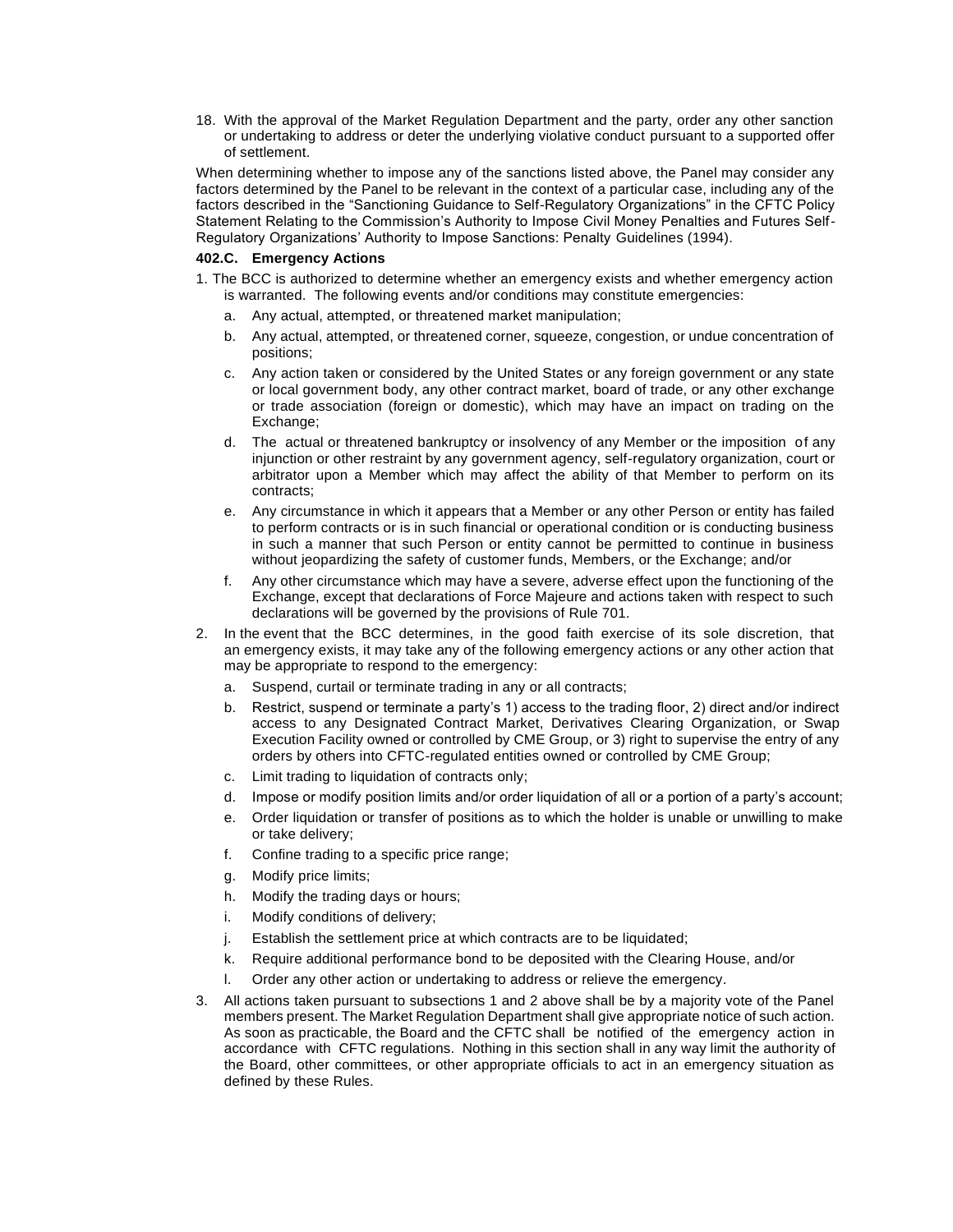18. With the approval of the Market Regulation Department and the party, order any other sanction or undertaking to address or deter the underlying violative conduct pursuant to a supported offer of settlement.

When determining whether to impose any of the sanctions listed above, the Panel may consider any factors determined by the Panel to be relevant in the context of a particular case, including any of the factors described in the "Sanctioning Guidance to Self-Regulatory Organizations" in the CFTC Policy Statement Relating to the Commission's Authority to Impose Civil Money Penalties and Futures Self-Regulatory Organizations' Authority to Impose Sanctions: Penalty Guidelines (1994).

#### **402.C. Emergency Actions**

- 1. The BCC is authorized to determine whether an emergency exists and whether emergency action is warranted. The following events and/or conditions may constitute emergencies:
	- a. Any actual, attempted, or threatened market manipulation;
	- b. Any actual, attempted, or threatened corner, squeeze, congestion, or undue concentration of positions;
	- c. Any action taken or considered by the United States or any foreign government or any state or local government body, any other contract market, board of trade, or any other exchange or trade association (foreign or domestic), which may have an impact on trading on the Exchange:
	- d. The actual or threatened bankruptcy or insolvency of any Member or the imposition of any injunction or other restraint by any government agency, self-regulatory organization, court or arbitrator upon a Member which may affect the ability of that Member to perform on its contracts;
	- e. Any circumstance in which it appears that a Member or any other Person or entity has failed to perform contracts or is in such financial or operational condition or is conducting business in such a manner that such Person or entity cannot be permitted to continue in business without jeopardizing the safety of customer funds, Members, or the Exchange; and/or
	- f. Any other circumstance which may have a severe, adverse effect upon the functioning of the Exchange, except that declarations of Force Majeure and actions taken with respect to such declarations will be governed by the provisions of Rule 701.
- 2. In the event that the BCC determines, in the good faith exercise of its sole discretion, that an emergency exists, it may take any of the following emergency actions or any other action that may be appropriate to respond to the emergency:
	- a. Suspend, curtail or terminate trading in any or all contracts;
	- b. Restrict, suspend or terminate a party's 1) access to the trading floor, 2) direct and/or indirect access to any Designated Contract Market, Derivatives Clearing Organization, or Swap Execution Facility owned or controlled by CME Group, or 3) right to supervise the entry of any orders by others into CFTC-regulated entities owned or controlled by CME Group;
	- c. Limit trading to liquidation of contracts only;
	- d. Impose or modify position limits and/or order liquidation of all or a portion of a party's account;
	- e. Order liquidation or transfer of positions as to which the holder is unable or unwilling to make or take delivery;
	- f. Confine trading to a specific price range;
	- g. Modify price limits;
	- h. Modify the trading days or hours;
	- i. Modify conditions of delivery;
	- j. Establish the settlement price at which contracts are to be liquidated;
	- k. Require additional performance bond to be deposited with the Clearing House, and/or
	- l. Order any other action or undertaking to address or relieve the emergency.
- 3. All actions taken pursuant to subsections 1 and 2 above shall be by a majority vote of the Panel members present. The Market Regulation Department shall give appropriate notice of such action. As soon as practicable, the Board and the CFTC shall be notified of the emergency action in accordance with CFTC regulations. Nothing in this section shall in any way limit the authority of the Board, other committees, or other appropriate officials to act in an emergency situation as defined by these Rules.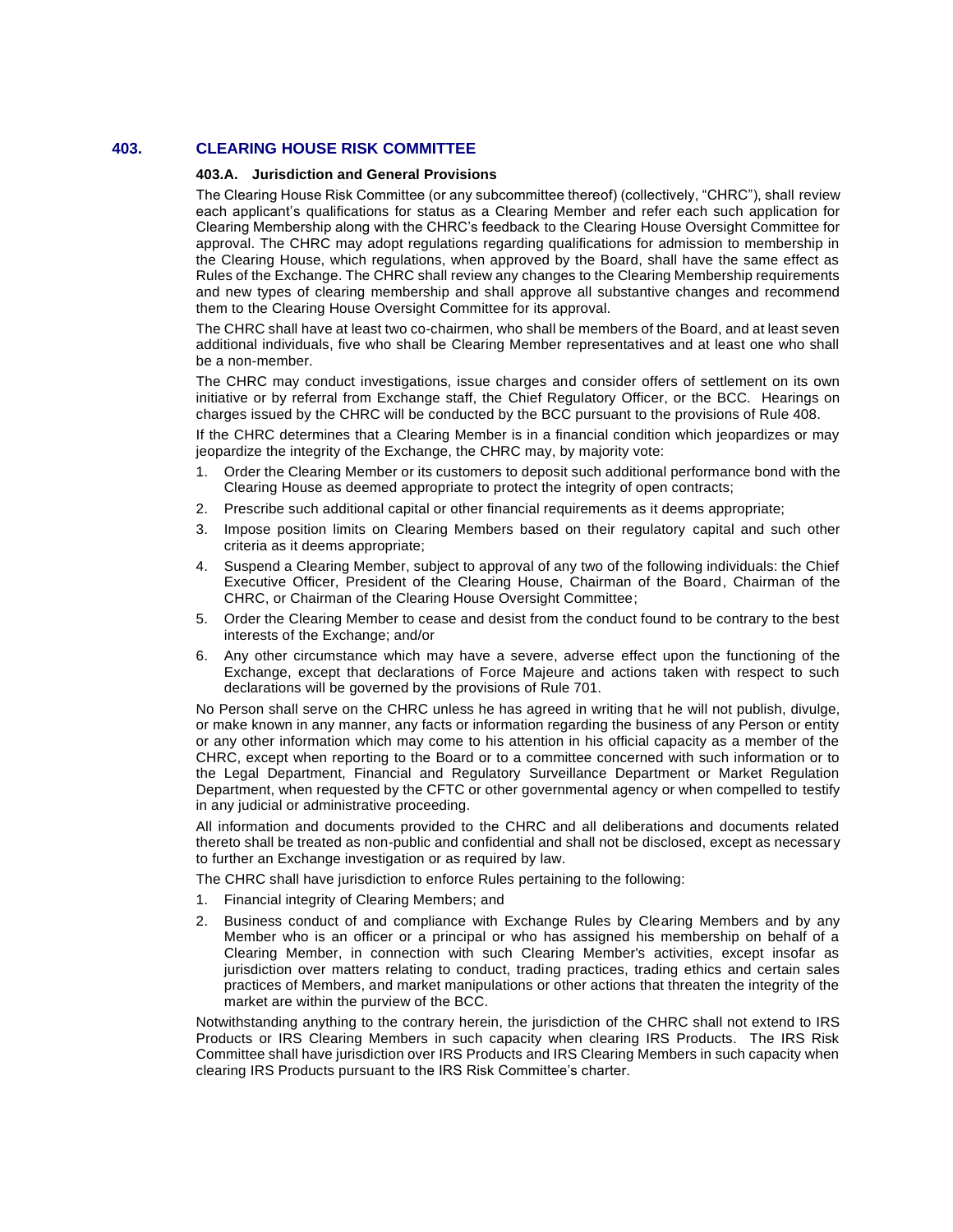# **403. CLEARING HOUSE RISK COMMITTEE**

#### **403.A. Jurisdiction and General Provisions**

The Clearing House Risk Committee (or any subcommittee thereof) (collectively, "CHRC"), shall review each applicant's qualifications for status as a Clearing Member and refer each such application for Clearing Membership along with the CHRC's feedback to the Clearing House Oversight Committee for approval. The CHRC may adopt regulations regarding qualifications for admission to membership in the Clearing House, which regulations, when approved by the Board, shall have the same effect as Rules of the Exchange. The CHRC shall review any changes to the Clearing Membership requirements and new types of clearing membership and shall approve all substantive changes and recommend them to the Clearing House Oversight Committee for its approval.

The CHRC shall have at least two co-chairmen, who shall be members of the Board, and at least seven additional individuals, five who shall be Clearing Member representatives and at least one who shall be a non-member.

The CHRC may conduct investigations, issue charges and consider offers of settlement on its own initiative or by referral from Exchange staff, the Chief Regulatory Officer, or the BCC. Hearings on charges issued by the CHRC will be conducted by the BCC pursuant to the provisions of Rule 408.

If the CHRC determines that a Clearing Member is in a financial condition which jeopardizes or may jeopardize the integrity of the Exchange, the CHRC may, by majority vote:

- 1. Order the Clearing Member or its customers to deposit such additional performance bond with the Clearing House as deemed appropriate to protect the integrity of open contracts;
- 2. Prescribe such additional capital or other financial requirements as it deems appropriate;
- 3. Impose position limits on Clearing Members based on their regulatory capital and such other criteria as it deems appropriate;
- 4. Suspend a Clearing Member, subject to approval of any two of the following individuals: the Chief Executive Officer, President of the Clearing House, Chairman of the Board, Chairman of the CHRC, or Chairman of the Clearing House Oversight Committee;
- 5. Order the Clearing Member to cease and desist from the conduct found to be contrary to the best interests of the Exchange; and/or
- 6. Any other circumstance which may have a severe, adverse effect upon the functioning of the Exchange, except that declarations of Force Majeure and actions taken with respect to such declarations will be governed by the provisions of Rule 701.

No Person shall serve on the CHRC unless he has agreed in writing that he will not publish, divulge, or make known in any manner, any facts or information regarding the business of any Person or entity or any other information which may come to his attention in his official capacity as a member of the CHRC, except when reporting to the Board or to a committee concerned with such information or to the Legal Department, Financial and Regulatory Surveillance Department or Market Regulation Department, when requested by the CFTC or other governmental agency or when compelled to testify in any judicial or administrative proceeding.

All information and documents provided to the CHRC and all deliberations and documents related thereto shall be treated as non-public and confidential and shall not be disclosed, except as necessary to further an Exchange investigation or as required by law.

The CHRC shall have jurisdiction to enforce Rules pertaining to the following:

- 1. Financial integrity of Clearing Members; and
- 2. Business conduct of and compliance with Exchange Rules by Clearing Members and by any Member who is an officer or a principal or who has assigned his membership on behalf of a Clearing Member, in connection with such Clearing Member's activities, except insofar as jurisdiction over matters relating to conduct, trading practices, trading ethics and certain sales practices of Members, and market manipulations or other actions that threaten the integrity of the market are within the purview of the BCC.

Notwithstanding anything to the contrary herein, the jurisdiction of the CHRC shall not extend to IRS Products or IRS Clearing Members in such capacity when clearing IRS Products. The IRS Risk Committee shall have jurisdiction over IRS Products and IRS Clearing Members in such capacity when clearing IRS Products pursuant to the IRS Risk Committee's charter.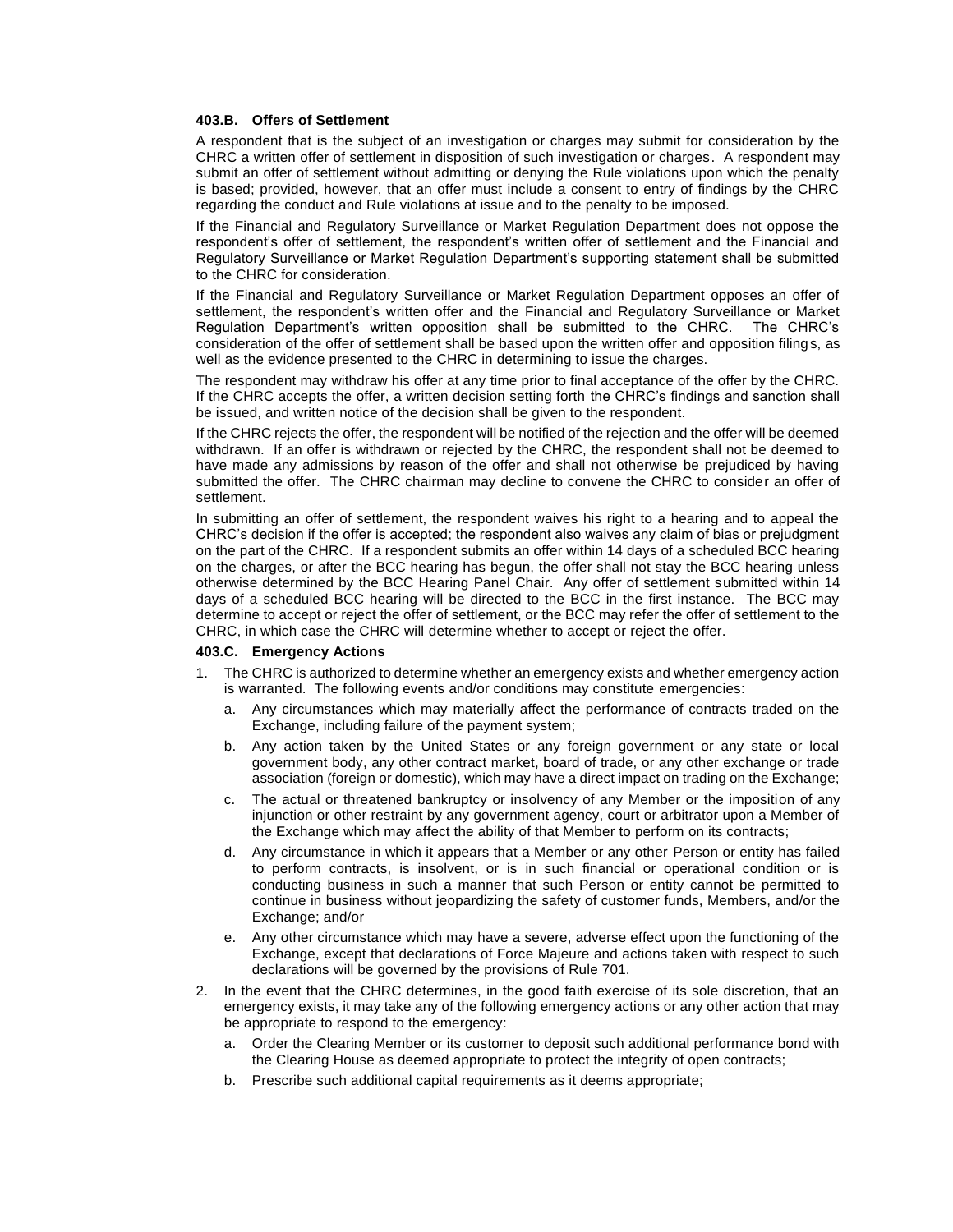#### **403.B. Offers of Settlement**

A respondent that is the subject of an investigation or charges may submit for consideration by the CHRC a written offer of settlement in disposition of such investigation or charges. A respondent may submit an offer of settlement without admitting or denying the Rule violations upon which the penalty is based; provided, however, that an offer must include a consent to entry of findings by the CHRC regarding the conduct and Rule violations at issue and to the penalty to be imposed.

If the Financial and Regulatory Surveillance or Market Regulation Department does not oppose the respondent's offer of settlement, the respondent's written offer of settlement and the Financial and Regulatory Surveillance or Market Regulation Department's supporting statement shall be submitted to the CHRC for consideration.

If the Financial and Regulatory Surveillance or Market Regulation Department opposes an offer of settlement, the respondent's written offer and the Financial and Regulatory Surveillance or Market Regulation Department's written opposition shall be submitted to the CHRC. The CHRC's consideration of the offer of settlement shall be based upon the written offer and opposition filings, as well as the evidence presented to the CHRC in determining to issue the charges.

The respondent may withdraw his offer at any time prior to final acceptance of the offer by the CHRC. If the CHRC accepts the offer, a written decision setting forth the CHRC's findings and sanction shall be issued, and written notice of the decision shall be given to the respondent.

If the CHRC rejects the offer, the respondent will be notified of the rejection and the offer will be deemed withdrawn. If an offer is withdrawn or rejected by the CHRC, the respondent shall not be deemed to have made any admissions by reason of the offer and shall not otherwise be prejudiced by having submitted the offer. The CHRC chairman may decline to convene the CHRC to consider an offer of settlement.

In submitting an offer of settlement, the respondent waives his right to a hearing and to appeal the CHRC's decision if the offer is accepted; the respondent also waives any claim of bias or prejudgment on the part of the CHRC. If a respondent submits an offer within 14 days of a scheduled BCC hearing on the charges, or after the BCC hearing has begun, the offer shall not stay the BCC hearing unless otherwise determined by the BCC Hearing Panel Chair. Any offer of settlement submitted within 14 days of a scheduled BCC hearing will be directed to the BCC in the first instance. The BCC may determine to accept or reject the offer of settlement, or the BCC may refer the offer of settlement to the CHRC, in which case the CHRC will determine whether to accept or reject the offer.

#### **403.C. Emergency Actions**

- 1. The CHRC is authorized to determine whether an emergency exists and whether emergency action is warranted. The following events and/or conditions may constitute emergencies:
	- a. Any circumstances which may materially affect the performance of contracts traded on the Exchange, including failure of the payment system;
	- b. Any action taken by the United States or any foreign government or any state or local government body, any other contract market, board of trade, or any other exchange or trade association (foreign or domestic), which may have a direct impact on trading on the Exchange;
	- c. The actual or threatened bankruptcy or insolvency of any Member or the imposition of any injunction or other restraint by any government agency, court or arbitrator upon a Member of the Exchange which may affect the ability of that Member to perform on its contracts;
	- d. Any circumstance in which it appears that a Member or any other Person or entity has failed to perform contracts, is insolvent, or is in such financial or operational condition or is conducting business in such a manner that such Person or entity cannot be permitted to continue in business without jeopardizing the safety of customer funds, Members, and/or the Exchange; and/or
	- e. Any other circumstance which may have a severe, adverse effect upon the functioning of the Exchange, except that declarations of Force Majeure and actions taken with respect to such declarations will be governed by the provisions of Rule 701.
- 2. In the event that the CHRC determines, in the good faith exercise of its sole discretion, that an emergency exists, it may take any of the following emergency actions or any other action that may be appropriate to respond to the emergency:
	- a. Order the Clearing Member or its customer to deposit such additional performance bond with the Clearing House as deemed appropriate to protect the integrity of open contracts;
	- b. Prescribe such additional capital requirements as it deems appropriate;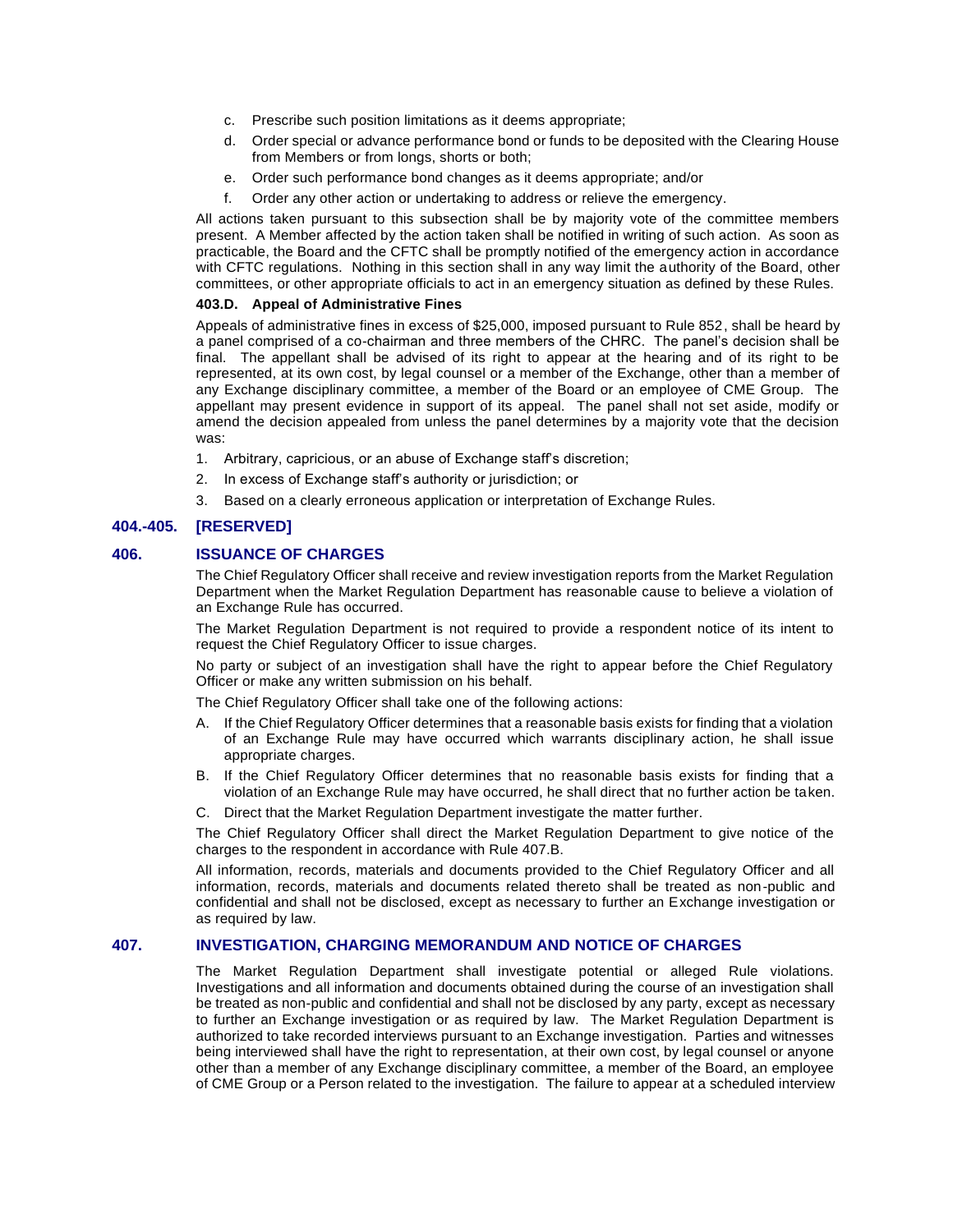- c. Prescribe such position limitations as it deems appropriate;
- d. Order special or advance performance bond or funds to be deposited with the Clearing House from Members or from longs, shorts or both;
- e. Order such performance bond changes as it deems appropriate; and/or
- f. Order any other action or undertaking to address or relieve the emergency.

All actions taken pursuant to this subsection shall be by majority vote of the committee members present. A Member affected by the action taken shall be notified in writing of such action. As soon as practicable, the Board and the CFTC shall be promptly notified of the emergency action in accordance with CFTC regulations. Nothing in this section shall in any way limit the authority of the Board, other committees, or other appropriate officials to act in an emergency situation as defined by these Rules.

#### **403.D. Appeal of Administrative Fines**

Appeals of administrative fines in excess of \$25,000, imposed pursuant to Rule 852, shall be heard by a panel comprised of a co-chairman and three members of the CHRC. The panel's decision shall be final. The appellant shall be advised of its right to appear at the hearing and of its right to be represented, at its own cost, by legal counsel or a member of the Exchange, other than a member of any Exchange disciplinary committee, a member of the Board or an employee of CME Group. The appellant may present evidence in support of its appeal. The panel shall not set aside, modify or amend the decision appealed from unless the panel determines by a majority vote that the decision was:

- 1. Arbitrary, capricious, or an abuse of Exchange staff's discretion;
- 2. In excess of Exchange staff's authority or jurisdiction; or
- 3. Based on a clearly erroneous application or interpretation of Exchange Rules.

# **404.-405. [RESERVED]**

### **406. ISSUANCE OF CHARGES**

The Chief Regulatory Officer shall receive and review investigation reports from the Market Regulation Department when the Market Regulation Department has reasonable cause to believe a violation of an Exchange Rule has occurred.

The Market Regulation Department is not required to provide a respondent notice of its intent to request the Chief Regulatory Officer to issue charges.

No party or subject of an investigation shall have the right to appear before the Chief Regulatory Officer or make any written submission on his behalf.

The Chief Regulatory Officer shall take one of the following actions:

- A. If the Chief Regulatory Officer determines that a reasonable basis exists for finding that a violation of an Exchange Rule may have occurred which warrants disciplinary action, he shall issue appropriate charges.
- B. If the Chief Regulatory Officer determines that no reasonable basis exists for finding that a violation of an Exchange Rule may have occurred, he shall direct that no further action be taken.
- C. Direct that the Market Regulation Department investigate the matter further.

The Chief Regulatory Officer shall direct the Market Regulation Department to give notice of the charges to the respondent in accordance with Rule 407.B.

All information, records, materials and documents provided to the Chief Regulatory Officer and all information, records, materials and documents related thereto shall be treated as non-public and confidential and shall not be disclosed, except as necessary to further an Exchange investigation or as required by law.

### **407. INVESTIGATION, CHARGING MEMORANDUM AND NOTICE OF CHARGES**

The Market Regulation Department shall investigate potential or alleged Rule violations. Investigations and all information and documents obtained during the course of an investigation shall be treated as non-public and confidential and shall not be disclosed by any party, except as necessary to further an Exchange investigation or as required by law. The Market Regulation Department is authorized to take recorded interviews pursuant to an Exchange investigation. Parties and witnesses being interviewed shall have the right to representation, at their own cost, by legal counsel or anyone other than a member of any Exchange disciplinary committee, a member of the Board, an employee of CME Group or a Person related to the investigation. The failure to appear at a scheduled interview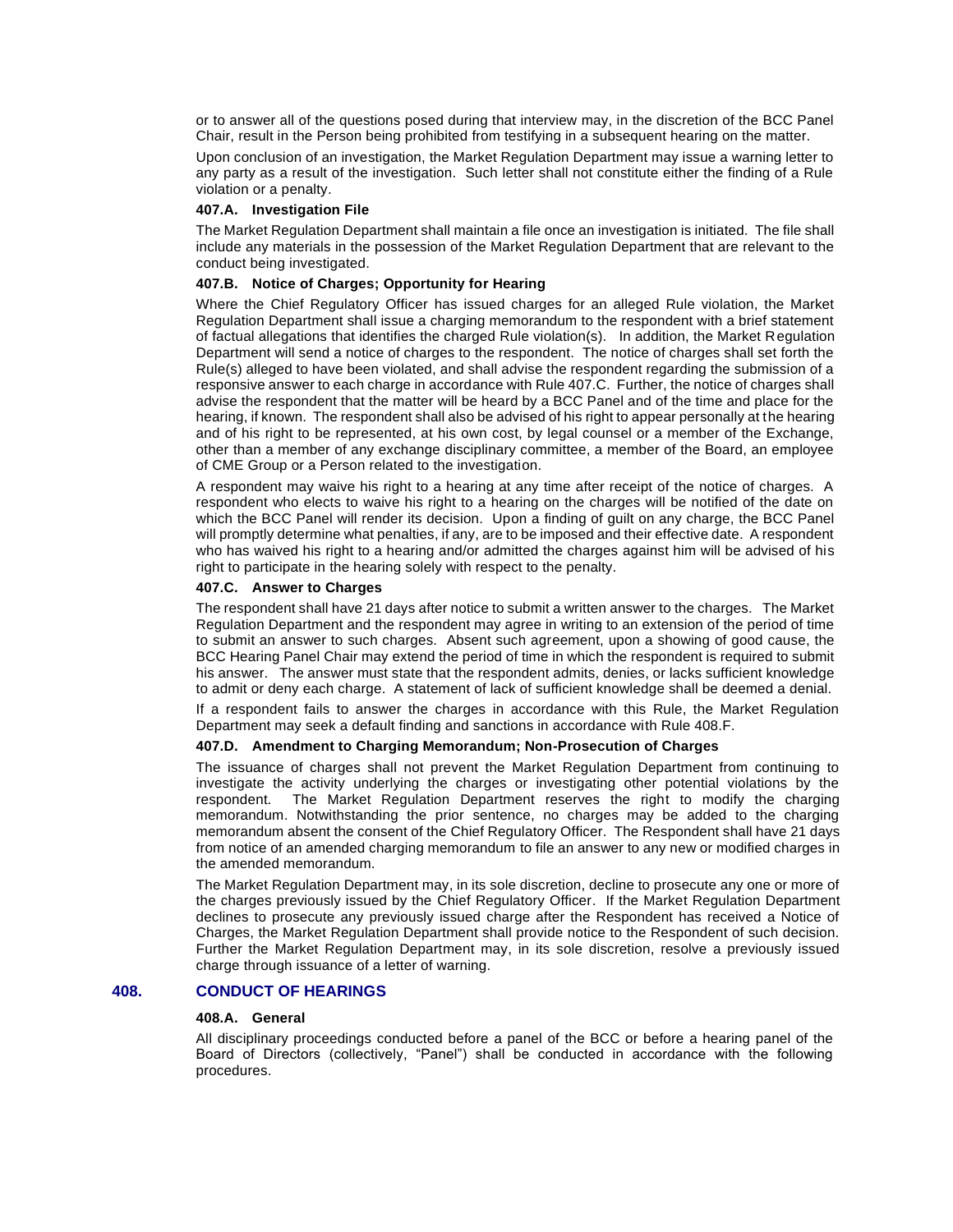or to answer all of the questions posed during that interview may, in the discretion of the BCC Panel Chair, result in the Person being prohibited from testifying in a subsequent hearing on the matter.

Upon conclusion of an investigation, the Market Regulation Department may issue a warning letter to any party as a result of the investigation. Such letter shall not constitute either the finding of a Rule violation or a penalty.

#### **407.A. Investigation File**

The Market Regulation Department shall maintain a file once an investigation is initiated. The file shall include any materials in the possession of the Market Regulation Department that are relevant to the conduct being investigated.

### **407.B. Notice of Charges; Opportunity for Hearing**

Where the Chief Regulatory Officer has issued charges for an alleged Rule violation, the Market Regulation Department shall issue a charging memorandum to the respondent with a brief statement of factual allegations that identifies the charged Rule violation(s). In addition, the Market Regulation Department will send a notice of charges to the respondent. The notice of charges shall set forth the Rule(s) alleged to have been violated, and shall advise the respondent regarding the submission of a responsive answer to each charge in accordance with Rule 407.C. Further, the notice of charges shall advise the respondent that the matter will be heard by a BCC Panel and of the time and place for the hearing, if known. The respondent shall also be advised of his right to appear personally at the hearing and of his right to be represented, at his own cost, by legal counsel or a member of the Exchange, other than a member of any exchange disciplinary committee, a member of the Board, an employee of CME Group or a Person related to the investigation.

A respondent may waive his right to a hearing at any time after receipt of the notice of charges. A respondent who elects to waive his right to a hearing on the charges will be notified of the date on which the BCC Panel will render its decision. Upon a finding of guilt on any charge, the BCC Panel will promptly determine what penalties, if any, are to be imposed and their effective date. A respondent who has waived his right to a hearing and/or admitted the charges against him will be advised of his right to participate in the hearing solely with respect to the penalty.

#### **407.C. Answer to Charges**

The respondent shall have 21 days after notice to submit a written answer to the charges. The Market Regulation Department and the respondent may agree in writing to an extension of the period of time to submit an answer to such charges. Absent such agreement, upon a showing of good cause, the BCC Hearing Panel Chair may extend the period of time in which the respondent is required to submit his answer. The answer must state that the respondent admits, denies, or lacks sufficient knowledge to admit or deny each charge. A statement of lack of sufficient knowledge shall be deemed a denial.

If a respondent fails to answer the charges in accordance with this Rule, the Market Regulation Department may seek a default finding and sanctions in accordance with Rule 408.F.

#### **407.D. Amendment to Charging Memorandum; Non-Prosecution of Charges**

The issuance of charges shall not prevent the Market Regulation Department from continuing to investigate the activity underlying the charges or investigating other potential violations by the respondent. The Market Regulation Department reserves the right to modify the charging memorandum. Notwithstanding the prior sentence, no charges may be added to the charging memorandum absent the consent of the Chief Regulatory Officer. The Respondent shall have 21 days from notice of an amended charging memorandum to file an answer to any new or modified charges in the amended memorandum.

The Market Regulation Department may, in its sole discretion, decline to prosecute any one or more of the charges previously issued by the Chief Regulatory Officer. If the Market Regulation Department declines to prosecute any previously issued charge after the Respondent has received a Notice of Charges, the Market Regulation Department shall provide notice to the Respondent of such decision. Further the Market Regulation Department may, in its sole discretion, resolve a previously issued charge through issuance of a letter of warning.

# **408. CONDUCT OF HEARINGS**

### **408.A. General**

All disciplinary proceedings conducted before a panel of the BCC or before a hearing panel of the Board of Directors (collectively, "Panel") shall be conducted in accordance with the following procedures.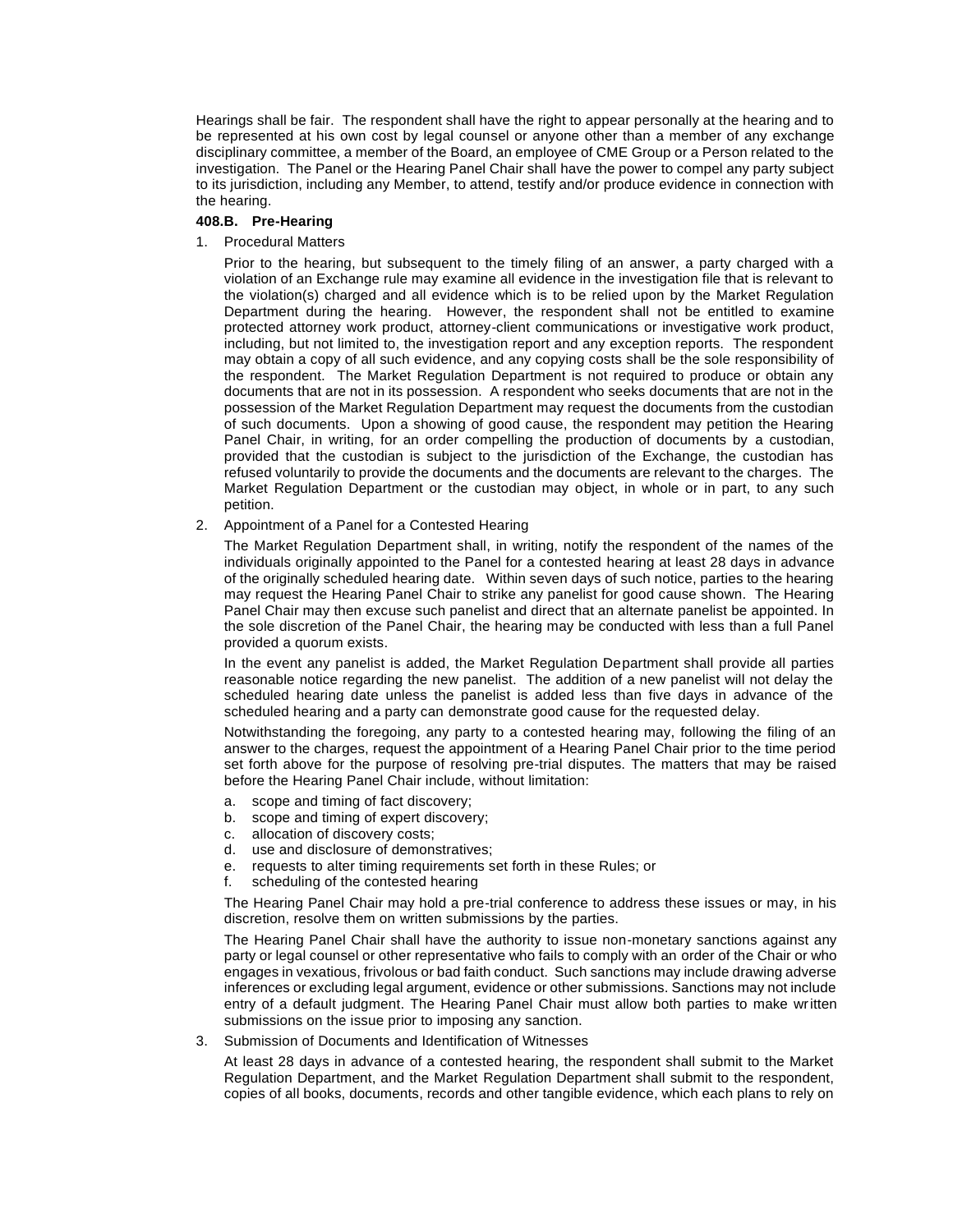Hearings shall be fair. The respondent shall have the right to appear personally at the hearing and to be represented at his own cost by legal counsel or anyone other than a member of any exchange disciplinary committee, a member of the Board, an employee of CME Group or a Person related to the investigation. The Panel or the Hearing Panel Chair shall have the power to compel any party subject to its jurisdiction, including any Member, to attend, testify and/or produce evidence in connection with the hearing.

### **408.B. Pre-Hearing**

#### 1. Procedural Matters

Prior to the hearing, but subsequent to the timely filing of an answer, a party charged with a violation of an Exchange rule may examine all evidence in the investigation file that is relevant to the violation(s) charged and all evidence which is to be relied upon by the Market Regulation Department during the hearing. However, the respondent shall not be entitled to examine protected attorney work product, attorney-client communications or investigative work product, including, but not limited to, the investigation report and any exception reports. The respondent may obtain a copy of all such evidence, and any copying costs shall be the sole responsibility of the respondent. The Market Regulation Department is not required to produce or obtain any documents that are not in its possession. A respondent who seeks documents that are not in the possession of the Market Regulation Department may request the documents from the custodian of such documents. Upon a showing of good cause, the respondent may petition the Hearing Panel Chair, in writing, for an order compelling the production of documents by a custodian, provided that the custodian is subject to the jurisdiction of the Exchange, the custodian has refused voluntarily to provide the documents and the documents are relevant to the charges. The Market Regulation Department or the custodian may object, in whole or in part, to any such petition.

#### 2. Appointment of a Panel for a Contested Hearing

The Market Regulation Department shall, in writing, notify the respondent of the names of the individuals originally appointed to the Panel for a contested hearing at least 28 days in advance of the originally scheduled hearing date. Within seven days of such notice, parties to the hearing may request the Hearing Panel Chair to strike any panelist for good cause shown. The Hearing Panel Chair may then excuse such panelist and direct that an alternate panelist be appointed. In the sole discretion of the Panel Chair, the hearing may be conducted with less than a full Panel provided a quorum exists.

In the event any panelist is added, the Market Regulation Department shall provide all parties reasonable notice regarding the new panelist. The addition of a new panelist will not delay the scheduled hearing date unless the panelist is added less than five days in advance of the scheduled hearing and a party can demonstrate good cause for the requested delay.

Notwithstanding the foregoing, any party to a contested hearing may, following the filing of an answer to the charges, request the appointment of a Hearing Panel Chair prior to the time period set forth above for the purpose of resolving pre-trial disputes. The matters that may be raised before the Hearing Panel Chair include, without limitation:

- a. scope and timing of fact discovery;
- b. scope and timing of expert discovery;
- c. allocation of discovery costs;
- d. use and disclosure of demonstratives;
- e. requests to alter timing requirements set forth in these Rules; or
- f. scheduling of the contested hearing

The Hearing Panel Chair may hold a pre-trial conference to address these issues or may, in his discretion, resolve them on written submissions by the parties.

The Hearing Panel Chair shall have the authority to issue non-monetary sanctions against any party or legal counsel or other representative who fails to comply with an order of the Chair or who engages in vexatious, frivolous or bad faith conduct. Such sanctions may include drawing adverse inferences or excluding legal argument, evidence or other submissions. Sanctions may not include entry of a default judgment. The Hearing Panel Chair must allow both parties to make written submissions on the issue prior to imposing any sanction.

3. Submission of Documents and Identification of Witnesses

At least 28 days in advance of a contested hearing, the respondent shall submit to the Market Regulation Department, and the Market Regulation Department shall submit to the respondent, copies of all books, documents, records and other tangible evidence, which each plans to rely on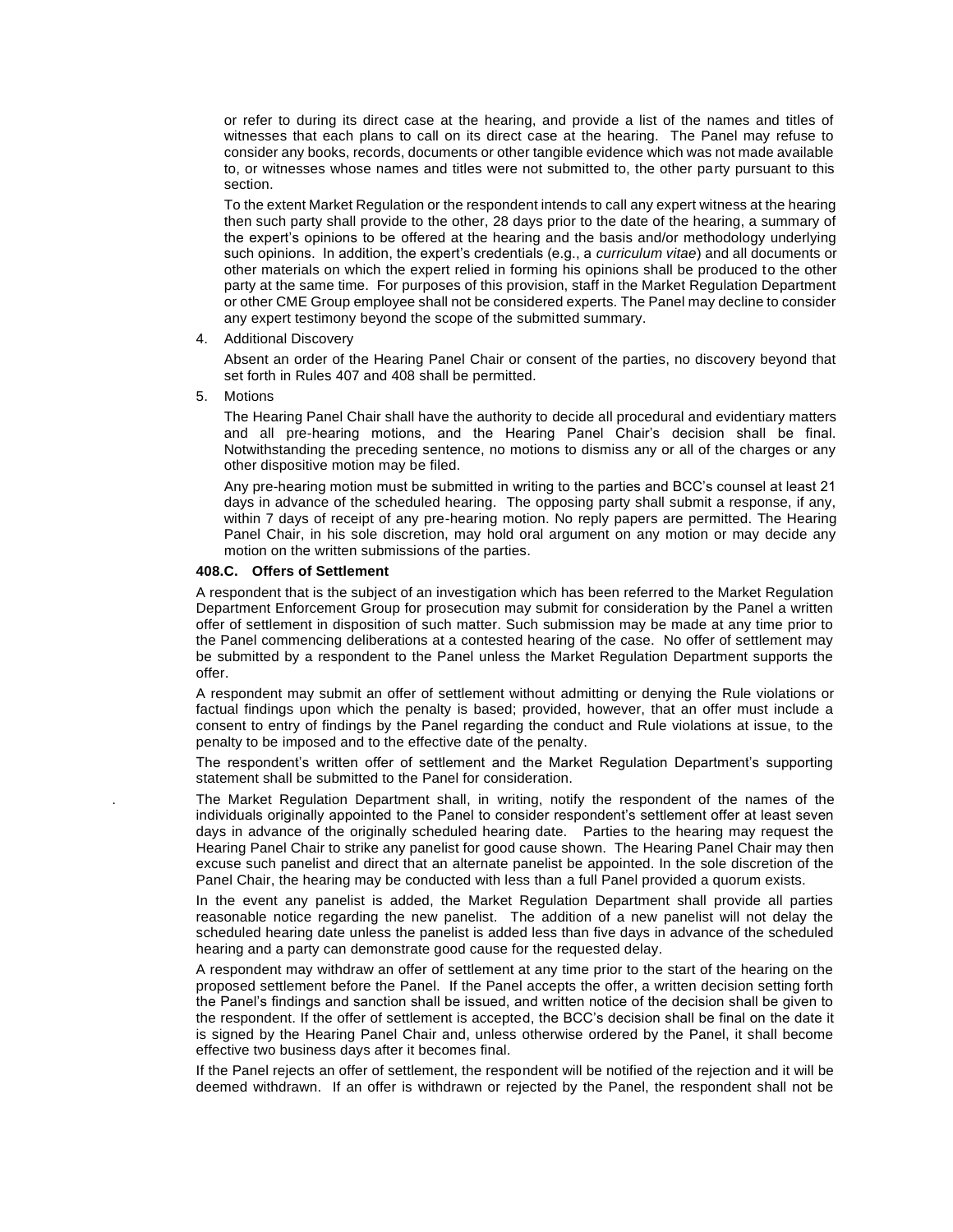or refer to during its direct case at the hearing, and provide a list of the names and titles of witnesses that each plans to call on its direct case at the hearing. The Panel may refuse to consider any books, records, documents or other tangible evidence which was not made available to, or witnesses whose names and titles were not submitted to, the other party pursuant to this section.

To the extent Market Regulation or the respondent intends to call any expert witness at the hearing then such party shall provide to the other, 28 days prior to the date of the hearing, a summary of the expert's opinions to be offered at the hearing and the basis and/or methodology underlying such opinions. In addition, the expert's credentials (e.g., a *curriculum vitae*) and all documents or other materials on which the expert relied in forming his opinions shall be produced to the other party at the same time. For purposes of this provision, staff in the Market Regulation Department or other CME Group employee shall not be considered experts. The Panel may decline to consider any expert testimony beyond the scope of the submitted summary.

4. Additional Discovery

Absent an order of the Hearing Panel Chair or consent of the parties, no discovery beyond that set forth in Rules 407 and 408 shall be permitted.

5. Motions

The Hearing Panel Chair shall have the authority to decide all procedural and evidentiary matters and all pre-hearing motions, and the Hearing Panel Chair's decision shall be final. Notwithstanding the preceding sentence, no motions to dismiss any or all of the charges or any other dispositive motion may be filed.

Any pre-hearing motion must be submitted in writing to the parties and BCC's counsel at least 21 days in advance of the scheduled hearing. The opposing party shall submit a response, if any, within 7 days of receipt of any pre-hearing motion. No reply papers are permitted. The Hearing Panel Chair, in his sole discretion, may hold oral argument on any motion or may decide any motion on the written submissions of the parties.

#### **408.C. Offers of Settlement**

A respondent that is the subject of an investigation which has been referred to the Market Regulation Department Enforcement Group for prosecution may submit for consideration by the Panel a written offer of settlement in disposition of such matter. Such submission may be made at any time prior to the Panel commencing deliberations at a contested hearing of the case. No offer of settlement may be submitted by a respondent to the Panel unless the Market Regulation Department supports the offer.

A respondent may submit an offer of settlement without admitting or denying the Rule violations or factual findings upon which the penalty is based; provided, however, that an offer must include a consent to entry of findings by the Panel regarding the conduct and Rule violations at issue, to the penalty to be imposed and to the effective date of the penalty.

The respondent's written offer of settlement and the Market Regulation Department's supporting statement shall be submitted to the Panel for consideration.

. The Market Regulation Department shall, in writing, notify the respondent of the names of the individuals originally appointed to the Panel to consider respondent's settlement offer at least seven days in advance of the originally scheduled hearing date. Parties to the hearing may request the Hearing Panel Chair to strike any panelist for good cause shown. The Hearing Panel Chair may then excuse such panelist and direct that an alternate panelist be appointed. In the sole discretion of the Panel Chair, the hearing may be conducted with less than a full Panel provided a quorum exists.

In the event any panelist is added, the Market Regulation Department shall provide all parties reasonable notice regarding the new panelist. The addition of a new panelist will not delay the scheduled hearing date unless the panelist is added less than five days in advance of the scheduled hearing and a party can demonstrate good cause for the requested delay.

A respondent may withdraw an offer of settlement at any time prior to the start of the hearing on the proposed settlement before the Panel. If the Panel accepts the offer, a written decision setting forth the Panel's findings and sanction shall be issued, and written notice of the decision shall be given to the respondent. If the offer of settlement is accepted, the BCC's decision shall be final on the date it is signed by the Hearing Panel Chair and, unless otherwise ordered by the Panel, it shall become effective two business days after it becomes final.

If the Panel rejects an offer of settlement, the respondent will be notified of the rejection and it will be deemed withdrawn. If an offer is withdrawn or rejected by the Panel, the respondent shall not be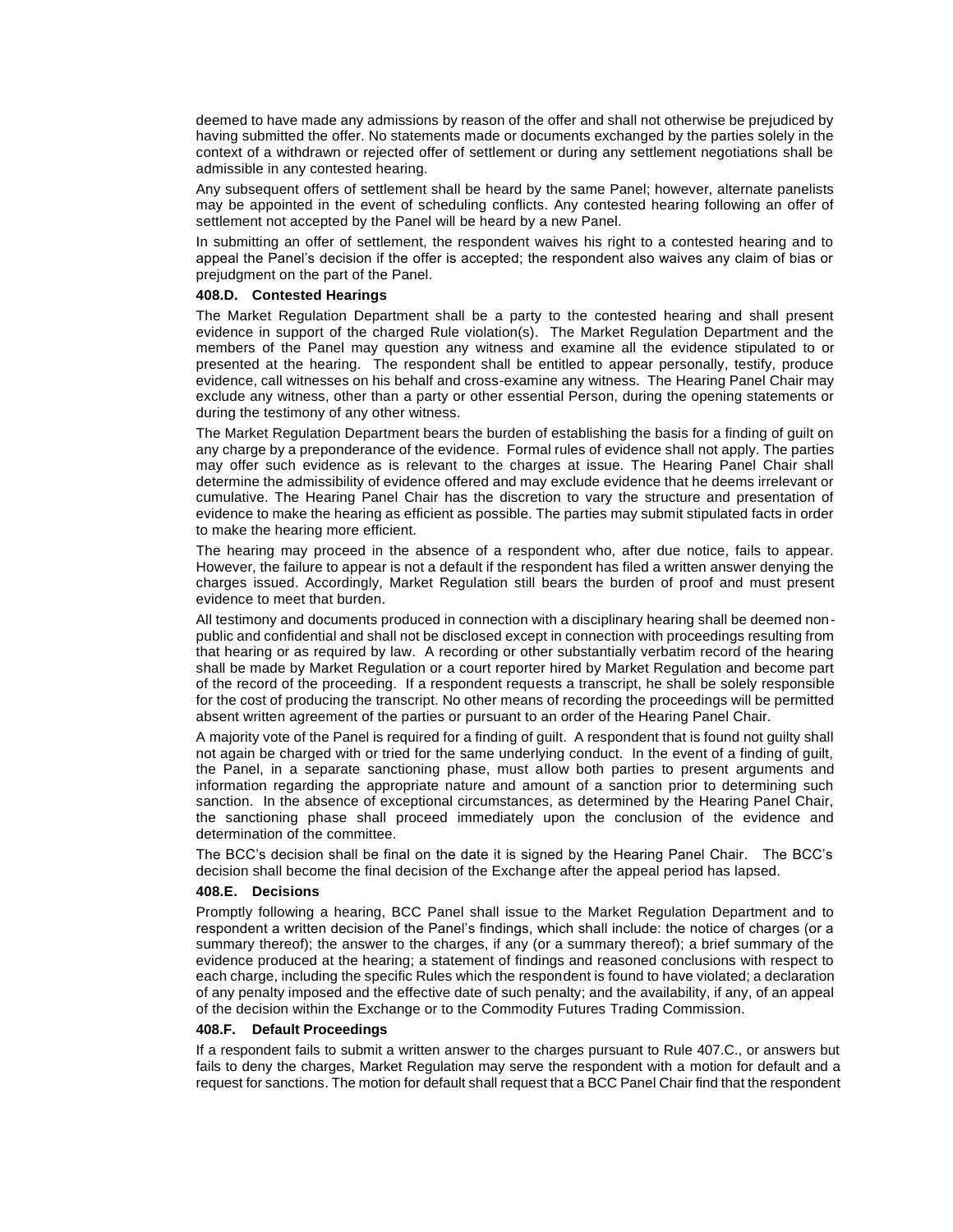deemed to have made any admissions by reason of the offer and shall not otherwise be prejudiced by having submitted the offer. No statements made or documents exchanged by the parties solely in the context of a withdrawn or rejected offer of settlement or during any settlement negotiations shall be admissible in any contested hearing.

Any subsequent offers of settlement shall be heard by the same Panel; however, alternate panelists may be appointed in the event of scheduling conflicts. Any contested hearing following an offer of settlement not accepted by the Panel will be heard by a new Panel.

In submitting an offer of settlement, the respondent waives his right to a contested hearing and to appeal the Panel's decision if the offer is accepted; the respondent also waives any claim of bias or prejudgment on the part of the Panel.

#### **408.D. Contested Hearings**

The Market Regulation Department shall be a party to the contested hearing and shall present evidence in support of the charged Rule violation(s). The Market Regulation Department and the members of the Panel may question any witness and examine all the evidence stipulated to or presented at the hearing. The respondent shall be entitled to appear personally, testify, produce evidence, call witnesses on his behalf and cross-examine any witness. The Hearing Panel Chair may exclude any witness, other than a party or other essential Person, during the opening statements or during the testimony of any other witness.

The Market Regulation Department bears the burden of establishing the basis for a finding of guilt on any charge by a preponderance of the evidence. Formal rules of evidence shall not apply. The parties may offer such evidence as is relevant to the charges at issue. The Hearing Panel Chair shall determine the admissibility of evidence offered and may exclude evidence that he deems irrelevant or cumulative. The Hearing Panel Chair has the discretion to vary the structure and presentation of evidence to make the hearing as efficient as possible. The parties may submit stipulated facts in order to make the hearing more efficient.

The hearing may proceed in the absence of a respondent who, after due notice, fails to appear. However, the failure to appear is not a default if the respondent has filed a written answer denying the charges issued. Accordingly, Market Regulation still bears the burden of proof and must present evidence to meet that burden.

All testimony and documents produced in connection with a disciplinary hearing shall be deemed nonpublic and confidential and shall not be disclosed except in connection with proceedings resulting from that hearing or as required by law. A recording or other substantially verbatim record of the hearing shall be made by Market Regulation or a court reporter hired by Market Regulation and become part of the record of the proceeding. If a respondent requests a transcript, he shall be solely responsible for the cost of producing the transcript. No other means of recording the proceedings will be permitted absent written agreement of the parties or pursuant to an order of the Hearing Panel Chair.

A majority vote of the Panel is required for a finding of guilt. A respondent that is found not guilty shall not again be charged with or tried for the same underlying conduct. In the event of a finding of guilt, the Panel, in a separate sanctioning phase, must allow both parties to present arguments and information regarding the appropriate nature and amount of a sanction prior to determining such sanction. In the absence of exceptional circumstances, as determined by the Hearing Panel Chair, the sanctioning phase shall proceed immediately upon the conclusion of the evidence and determination of the committee.

The BCC's decision shall be final on the date it is signed by the Hearing Panel Chair. The BCC's decision shall become the final decision of the Exchange after the appeal period has lapsed.

#### **408.E. Decisions**

Promptly following a hearing, BCC Panel shall issue to the Market Regulation Department and to respondent a written decision of the Panel's findings, which shall include: the notice of charges (or a summary thereof); the answer to the charges, if any (or a summary thereof); a brief summary of the evidence produced at the hearing; a statement of findings and reasoned conclusions with respect to each charge, including the specific Rules which the respondent is found to have violated; a declaration of any penalty imposed and the effective date of such penalty; and the availability, if any, of an appeal of the decision within the Exchange or to the Commodity Futures Trading Commission.

#### **408.F. Default Proceedings**

If a respondent fails to submit a written answer to the charges pursuant to Rule 407.C., or answers but fails to deny the charges, Market Regulation may serve the respondent with a motion for default and a request for sanctions. The motion for default shall request that a BCC Panel Chair find that the respondent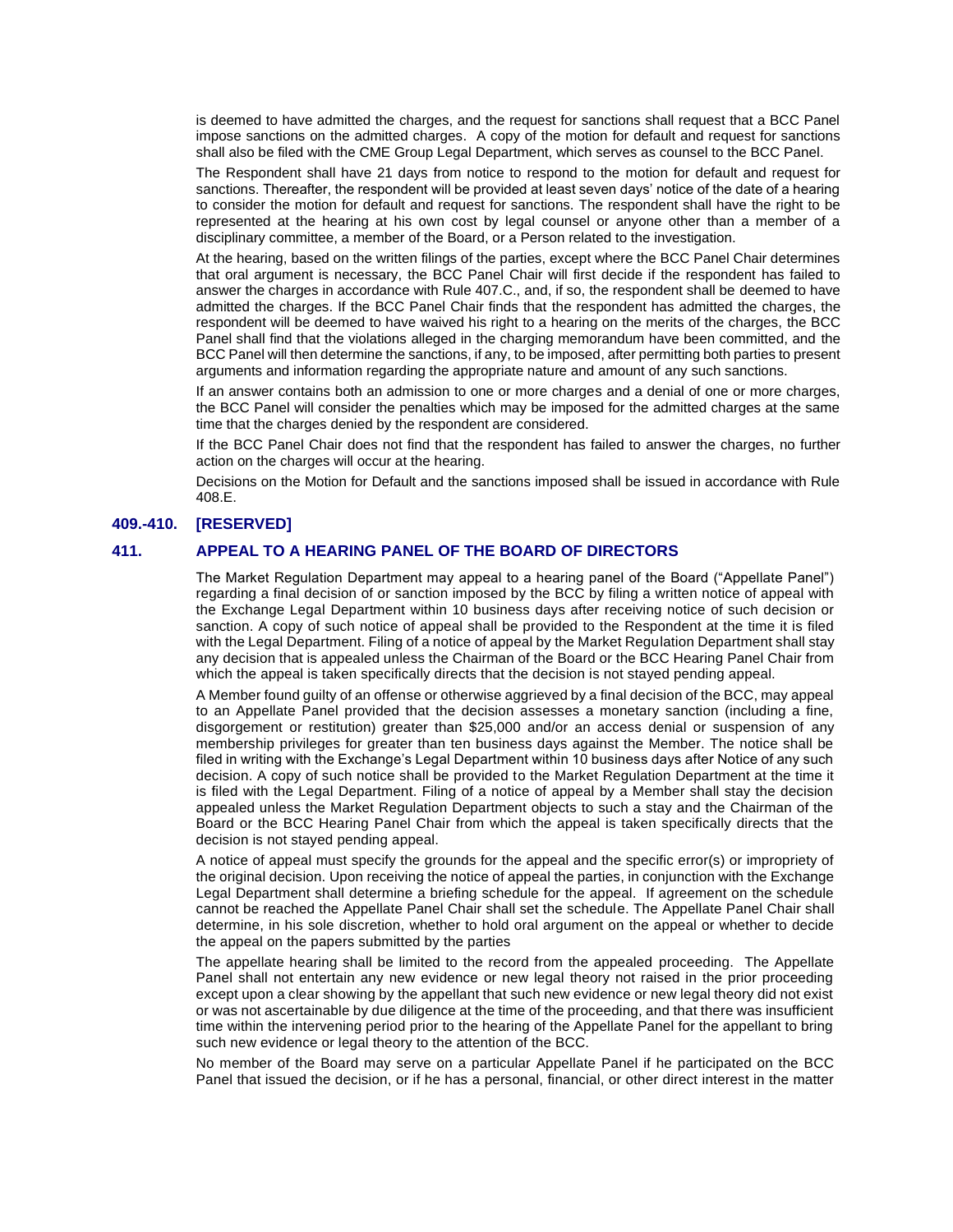is deemed to have admitted the charges, and the request for sanctions shall request that a BCC Panel impose sanctions on the admitted charges. A copy of the motion for default and request for sanctions shall also be filed with the CME Group Legal Department, which serves as counsel to the BCC Panel.

The Respondent shall have 21 days from notice to respond to the motion for default and request for sanctions. Thereafter, the respondent will be provided at least seven days' notice of the date of a hearing to consider the motion for default and request for sanctions. The respondent shall have the right to be represented at the hearing at his own cost by legal counsel or anyone other than a member of a disciplinary committee, a member of the Board, or a Person related to the investigation.

At the hearing, based on the written filings of the parties, except where the BCC Panel Chair determines that oral argument is necessary, the BCC Panel Chair will first decide if the respondent has failed to answer the charges in accordance with Rule 407.C., and, if so, the respondent shall be deemed to have admitted the charges. If the BCC Panel Chair finds that the respondent has admitted the charges, the respondent will be deemed to have waived his right to a hearing on the merits of the charges, the BCC Panel shall find that the violations alleged in the charging memorandum have been committed, and the BCC Panel will then determine the sanctions, if any, to be imposed, after permitting both parties to present arguments and information regarding the appropriate nature and amount of any such sanctions.

If an answer contains both an admission to one or more charges and a denial of one or more charges, the BCC Panel will consider the penalties which may be imposed for the admitted charges at the same time that the charges denied by the respondent are considered.

If the BCC Panel Chair does not find that the respondent has failed to answer the charges, no further action on the charges will occur at the hearing.

Decisions on the Motion for Default and the sanctions imposed shall be issued in accordance with Rule 408.E.

### **409.-410. [RESERVED]**

# **411. APPEAL TO A HEARING PANEL OF THE BOARD OF DIRECTORS**

The Market Regulation Department may appeal to a hearing panel of the Board ("Appellate Panel") regarding a final decision of or sanction imposed by the BCC by filing a written notice of appeal with the Exchange Legal Department within 10 business days after receiving notice of such decision or sanction. A copy of such notice of appeal shall be provided to the Respondent at the time it is filed with the Legal Department. Filing of a notice of appeal by the Market Regulation Department shall stay any decision that is appealed unless the Chairman of the Board or the BCC Hearing Panel Chair from which the appeal is taken specifically directs that the decision is not stayed pending appeal.

A Member found guilty of an offense or otherwise aggrieved by a final decision of the BCC, may appeal to an Appellate Panel provided that the decision assesses a monetary sanction (including a fine, disgorgement or restitution) greater than \$25,000 and/or an access denial or suspension of any membership privileges for greater than ten business days against the Member. The notice shall be filed in writing with the Exchange's Legal Department within 10 business days after Notice of any such decision. A copy of such notice shall be provided to the Market Regulation Department at the time it is filed with the Legal Department. Filing of a notice of appeal by a Member shall stay the decision appealed unless the Market Regulation Department objects to such a stay and the Chairman of the Board or the BCC Hearing Panel Chair from which the appeal is taken specifically directs that the decision is not stayed pending appeal.

A notice of appeal must specify the grounds for the appeal and the specific error(s) or impropriety of the original decision. Upon receiving the notice of appeal the parties, in conjunction with the Exchange Legal Department shall determine a briefing schedule for the appeal. If agreement on the schedule cannot be reached the Appellate Panel Chair shall set the schedule. The Appellate Panel Chair shall determine, in his sole discretion, whether to hold oral argument on the appeal or whether to decide the appeal on the papers submitted by the parties

The appellate hearing shall be limited to the record from the appealed proceeding. The Appellate Panel shall not entertain any new evidence or new legal theory not raised in the prior proceeding except upon a clear showing by the appellant that such new evidence or new legal theory did not exist or was not ascertainable by due diligence at the time of the proceeding, and that there was insufficient time within the intervening period prior to the hearing of the Appellate Panel for the appellant to bring such new evidence or legal theory to the attention of the BCC.

No member of the Board may serve on a particular Appellate Panel if he participated on the BCC Panel that issued the decision, or if he has a personal, financial, or other direct interest in the matter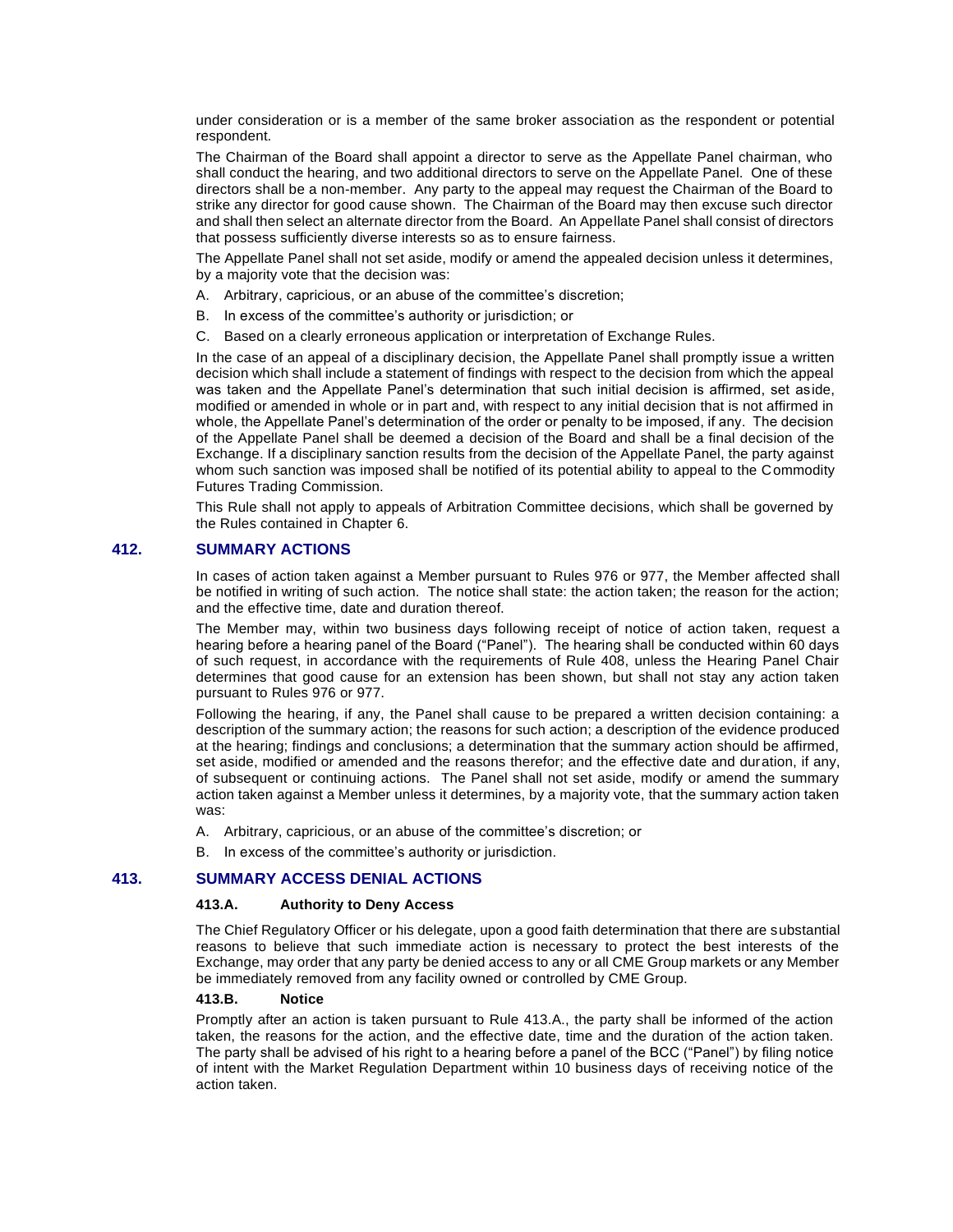under consideration or is a member of the same broker association as the respondent or potential respondent.

The Chairman of the Board shall appoint a director to serve as the Appellate Panel chairman, who shall conduct the hearing, and two additional directors to serve on the Appellate Panel. One of these directors shall be a non-member. Any party to the appeal may request the Chairman of the Board to strike any director for good cause shown. The Chairman of the Board may then excuse such director and shall then select an alternate director from the Board. An Appellate Panel shall consist of directors that possess sufficiently diverse interests so as to ensure fairness.

The Appellate Panel shall not set aside, modify or amend the appealed decision unless it determines, by a majority vote that the decision was:

- A. Arbitrary, capricious, or an abuse of the committee's discretion;
- B. In excess of the committee's authority or jurisdiction; or
- C. Based on a clearly erroneous application or interpretation of Exchange Rules.

In the case of an appeal of a disciplinary decision, the Appellate Panel shall promptly issue a written decision which shall include a statement of findings with respect to the decision from which the appeal was taken and the Appellate Panel's determination that such initial decision is affirmed, set aside, modified or amended in whole or in part and, with respect to any initial decision that is not affirmed in whole, the Appellate Panel's determination of the order or penalty to be imposed, if any. The decision of the Appellate Panel shall be deemed a decision of the Board and shall be a final decision of the Exchange. If a disciplinary sanction results from the decision of the Appellate Panel, the party against whom such sanction was imposed shall be notified of its potential ability to appeal to the Commodity Futures Trading Commission.

This Rule shall not apply to appeals of Arbitration Committee decisions, which shall be governed by the Rules contained in Chapter 6.

### **412. SUMMARY ACTIONS**

In cases of action taken against a Member pursuant to Rules 976 or 977, the Member affected shall be notified in writing of such action. The notice shall state: the action taken; the reason for the action; and the effective time, date and duration thereof.

The Member may, within two business days following receipt of notice of action taken, request a hearing before a hearing panel of the Board ("Panel"). The hearing shall be conducted within 60 days of such request, in accordance with the requirements of Rule 408, unless the Hearing Panel Chair determines that good cause for an extension has been shown, but shall not stay any action taken pursuant to Rules 976 or 977.

Following the hearing, if any, the Panel shall cause to be prepared a written decision containing: a description of the summary action; the reasons for such action; a description of the evidence produced at the hearing; findings and conclusions; a determination that the summary action should be affirmed, set aside, modified or amended and the reasons therefor; and the effective date and duration, if any, of subsequent or continuing actions. The Panel shall not set aside, modify or amend the summary action taken against a Member unless it determines, by a majority vote, that the summary action taken was:

- A. Arbitrary, capricious, or an abuse of the committee's discretion; or
- B. In excess of the committee's authority or jurisdiction.

#### **413. SUMMARY ACCESS DENIAL ACTIONS**

### **413.A. Authority to Deny Access**

The Chief Regulatory Officer or his delegate, upon a good faith determination that there are substantial reasons to believe that such immediate action is necessary to protect the best interests of the Exchange, may order that any party be denied access to any or all CME Group markets or any Member be immediately removed from any facility owned or controlled by CME Group.

# **413.B. Notice**

Promptly after an action is taken pursuant to Rule 413.A., the party shall be informed of the action taken, the reasons for the action, and the effective date, time and the duration of the action taken. The party shall be advised of his right to a hearing before a panel of the BCC ("Panel") by filing notice of intent with the Market Regulation Department within 10 business days of receiving notice of the action taken.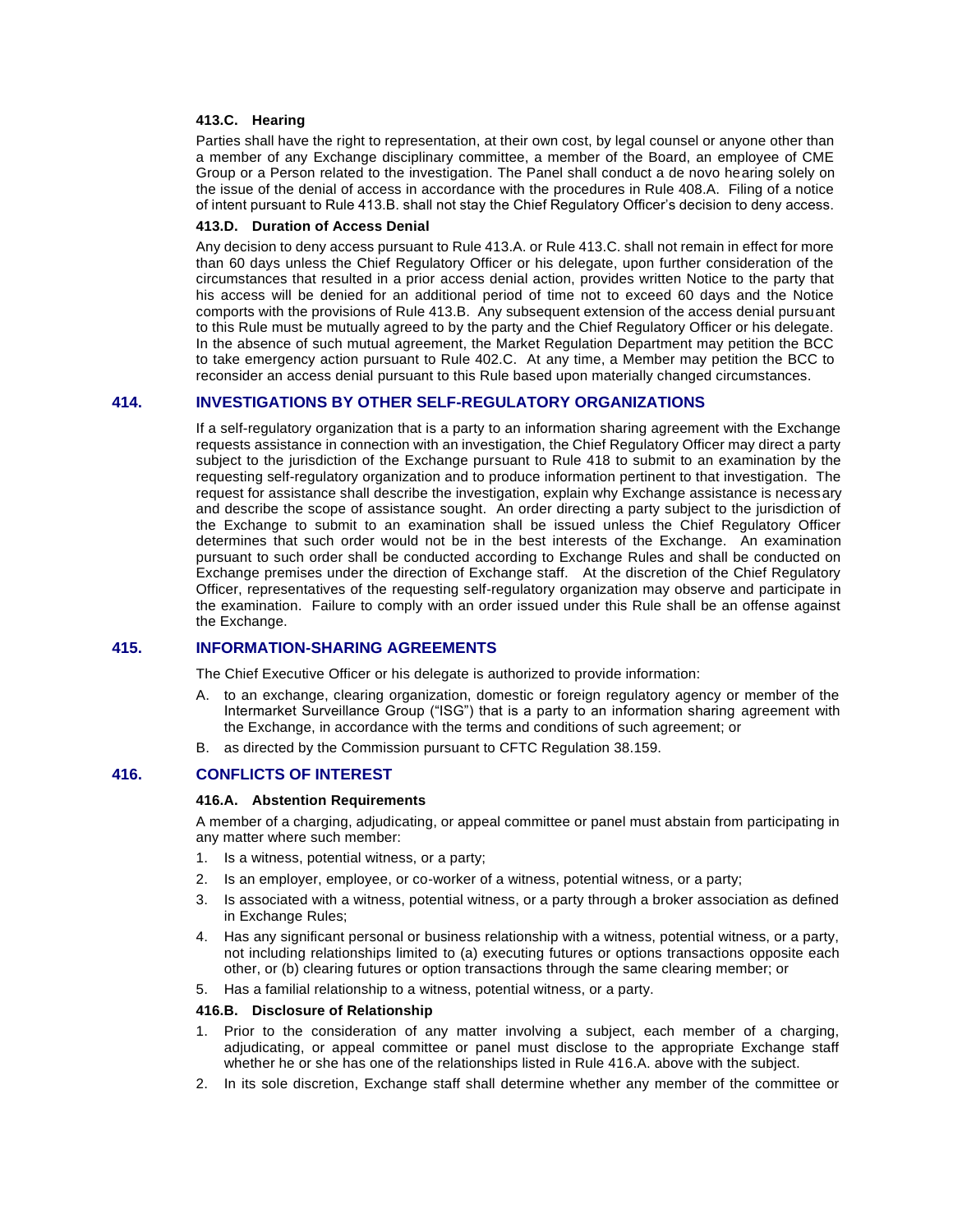### **413.C. Hearing**

Parties shall have the right to representation, at their own cost, by legal counsel or anyone other than a member of any Exchange disciplinary committee, a member of the Board, an employee of CME Group or a Person related to the investigation. The Panel shall conduct a de novo hearing solely on the issue of the denial of access in accordance with the procedures in Rule 408.A. Filing of a notice of intent pursuant to Rule 413.B. shall not stay the Chief Regulatory Officer's decision to deny access.

#### **413.D. Duration of Access Denial**

Any decision to deny access pursuant to Rule 413.A. or Rule 413.C. shall not remain in effect for more than 60 days unless the Chief Regulatory Officer or his delegate, upon further consideration of the circumstances that resulted in a prior access denial action, provides written Notice to the party that his access will be denied for an additional period of time not to exceed 60 days and the Notice comports with the provisions of Rule 413.B. Any subsequent extension of the access denial pursuant to this Rule must be mutually agreed to by the party and the Chief Regulatory Officer or his delegate. In the absence of such mutual agreement, the Market Regulation Department may petition the BCC to take emergency action pursuant to Rule 402.C. At any time, a Member may petition the BCC to reconsider an access denial pursuant to this Rule based upon materially changed circumstances.

# **414. INVESTIGATIONS BY OTHER SELF-REGULATORY ORGANIZATIONS**

If a self-regulatory organization that is a party to an information sharing agreement with the Exchange requests assistance in connection with an investigation, the Chief Regulatory Officer may direct a party subject to the jurisdiction of the Exchange pursuant to Rule 418 to submit to an examination by the requesting self-regulatory organization and to produce information pertinent to that investigation. The request for assistance shall describe the investigation, explain why Exchange assistance is necessary and describe the scope of assistance sought. An order directing a party subject to the jurisdiction of the Exchange to submit to an examination shall be issued unless the Chief Regulatory Officer determines that such order would not be in the best interests of the Exchange. An examination pursuant to such order shall be conducted according to Exchange Rules and shall be conducted on Exchange premises under the direction of Exchange staff. At the discretion of the Chief Regulatory Officer, representatives of the requesting self-regulatory organization may observe and participate in the examination. Failure to comply with an order issued under this Rule shall be an offense against the Exchange.

### **415. INFORMATION-SHARING AGREEMENTS**

The Chief Executive Officer or his delegate is authorized to provide information:

- A. to an exchange, clearing organization, domestic or foreign regulatory agency or member of the Intermarket Surveillance Group ("ISG") that is a party to an information sharing agreement with the Exchange, in accordance with the terms and conditions of such agreement; or
- B. as directed by the Commission pursuant to CFTC Regulation 38.159.

## **416. CONFLICTS OF INTEREST**

#### **416.A. Abstention Requirements**

A member of a charging, adjudicating, or appeal committee or panel must abstain from participating in any matter where such member:

- 1. Is a witness, potential witness, or a party;
- 2. Is an employer, employee, or co-worker of a witness, potential witness, or a party;
- 3. Is associated with a witness, potential witness, or a party through a broker association as defined in Exchange Rules;
- 4. Has any significant personal or business relationship with a witness, potential witness, or a party, not including relationships limited to (a) executing futures or options transactions opposite each other, or (b) clearing futures or option transactions through the same clearing member; or
- 5. Has a familial relationship to a witness, potential witness, or a party.

#### **416.B. Disclosure of Relationship**

- 1. Prior to the consideration of any matter involving a subject, each member of a charging, adjudicating, or appeal committee or panel must disclose to the appropriate Exchange staff whether he or she has one of the relationships listed in Rule 416.A. above with the subject.
- 2. In its sole discretion, Exchange staff shall determine whether any member of the committee or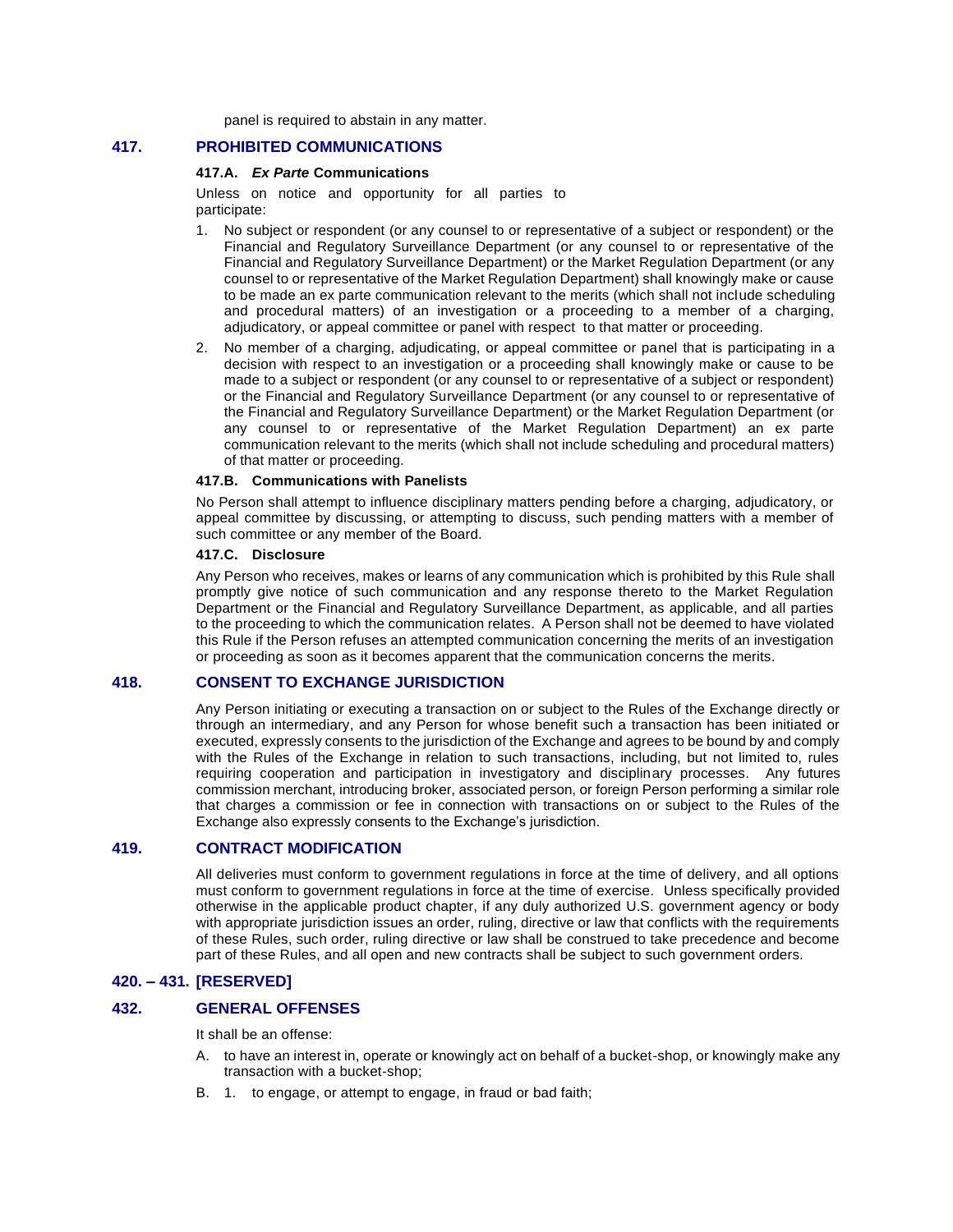panel is required to abstain in any matter.

# **417. PROHIBITED COMMUNICATIONS**

### **417.A.** *Ex Parte* **Communications**

Unless on notice and opportunity for all parties to participate:

- 1. No subject or respondent (or any counsel to or representative of a subject or respondent) or the Financial and Regulatory Surveillance Department (or any counsel to or representative of the Financial and Regulatory Surveillance Department) or the Market Regulation Department (or any counsel to or representative of the Market Regulation Department) shall knowingly make or cause to be made an ex parte communication relevant to the merits (which shall not include scheduling and procedural matters) of an investigation or a proceeding to a member of a charging, adjudicatory, or appeal committee or panel with respect to that matter or proceeding.
- 2. No member of a charging, adjudicating, or appeal committee or panel that is participating in a decision with respect to an investigation or a proceeding shall knowingly make or cause to be made to a subject or respondent (or any counsel to or representative of a subject or respondent) or the Financial and Regulatory Surveillance Department (or any counsel to or representative of the Financial and Regulatory Surveillance Department) or the Market Regulation Department (or any counsel to or representative of the Market Regulation Department) an ex parte communication relevant to the merits (which shall not include scheduling and procedural matters) of that matter or proceeding.

#### **417.B. Communications with Panelists**

No Person shall attempt to influence disciplinary matters pending before a charging, adjudicatory, or appeal committee by discussing, or attempting to discuss, such pending matters with a member of such committee or any member of the Board.

### **417.C. Disclosure**

Any Person who receives, makes or learns of any communication which is prohibited by this Rule shall promptly give notice of such communication and any response thereto to the Market Regulation Department or the Financial and Regulatory Surveillance Department, as applicable, and all parties to the proceeding to which the communication relates. A Person shall not be deemed to have violated this Rule if the Person refuses an attempted communication concerning the merits of an investigation or proceeding as soon as it becomes apparent that the communication concerns the merits.

# **418. CONSENT TO EXCHANGE JURISDICTION**

Any Person initiating or executing a transaction on or subject to the Rules of the Exchange directly or through an intermediary, and any Person for whose benefit such a transaction has been initiated or executed, expressly consents to the jurisdiction of the Exchange and agrees to be bound by and comply with the Rules of the Exchange in relation to such transactions, including, but not limited to, rules requiring cooperation and participation in investigatory and disciplinary processes. Any futures commission merchant, introducing broker, associated person, or foreign Person performing a similar role that charges a commission or fee in connection with transactions on or subject to the Rules of the Exchange also expressly consents to the Exchange's jurisdiction.

# **419. CONTRACT MODIFICATION**

All deliveries must conform to government regulations in force at the time of delivery, and all options must conform to government regulations in force at the time of exercise. Unless specifically provided otherwise in the applicable product chapter, if any duly authorized U.S. government agency or body with appropriate jurisdiction issues an order, ruling, directive or law that conflicts with the requirements of these Rules, such order, ruling directive or law shall be construed to take precedence and become part of these Rules, and all open and new contracts shall be subject to such government orders.

# **420. – 431. [RESERVED]**

# **432. GENERAL OFFENSES**

It shall be an offense:

- A. to have an interest in, operate or knowingly act on behalf of a bucket-shop, or knowingly make any transaction with a bucket-shop;
- B. 1. to engage, or attempt to engage, in fraud or bad faith;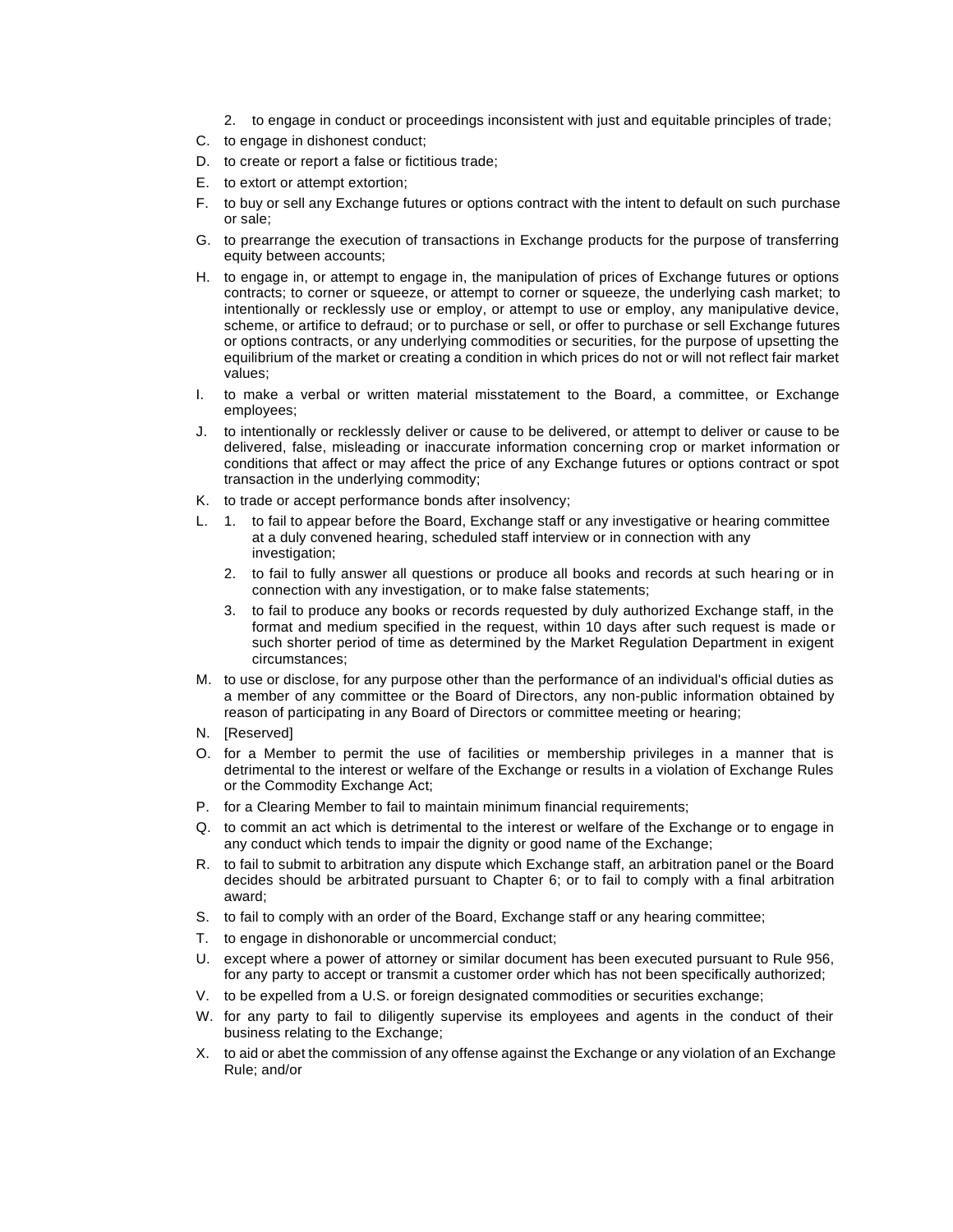- 2. to engage in conduct or proceedings inconsistent with just and equitable principles of trade;
- C. to engage in dishonest conduct;
- D. to create or report a false or fictitious trade;
- E. to extort or attempt extortion;
- F. to buy or sell any Exchange futures or options contract with the intent to default on such purchase or sale;
- G. to prearrange the execution of transactions in Exchange products for the purpose of transferring equity between accounts;
- H. to engage in, or attempt to engage in, the manipulation of prices of Exchange futures or options contracts; to corner or squeeze, or attempt to corner or squeeze, the underlying cash market; to intentionally or recklessly use or employ, or attempt to use or employ, any manipulative device, scheme, or artifice to defraud; or to purchase or sell, or offer to purchase or sell Exchange futures or options contracts, or any underlying commodities or securities, for the purpose of upsetting the equilibrium of the market or creating a condition in which prices do not or will not reflect fair market values;
- I. to make a verbal or written material misstatement to the Board, a committee, or Exchange employees;
- J. to intentionally or recklessly deliver or cause to be delivered, or attempt to deliver or cause to be delivered, false, misleading or inaccurate information concerning crop or market information or conditions that affect or may affect the price of any Exchange futures or options contract or spot transaction in the underlying commodity;
- K. to trade or accept performance bonds after insolvency;
- L. 1. to fail to appear before the Board, Exchange staff or any investigative or hearing committee at a duly convened hearing, scheduled staff interview or in connection with any investigation;
	- 2. to fail to fully answer all questions or produce all books and records at such hearing or in connection with any investigation, or to make false statements;
	- 3. to fail to produce any books or records requested by duly authorized Exchange staff, in the format and medium specified in the request, within 10 days after such request is made or such shorter period of time as determined by the Market Regulation Department in exigent circumstances;
- M. to use or disclose, for any purpose other than the performance of an individual's official duties as a member of any committee or the Board of Directors, any non-public information obtained by reason of participating in any Board of Directors or committee meeting or hearing;
- N. [Reserved]
- O. for a Member to permit the use of facilities or membership privileges in a manner that is detrimental to the interest or welfare of the Exchange or results in a violation of Exchange Rules or the Commodity Exchange Act;
- P. for a Clearing Member to fail to maintain minimum financial requirements;
- Q. to commit an act which is detrimental to the interest or welfare of the Exchange or to engage in any conduct which tends to impair the dignity or good name of the Exchange;
- R. to fail to submit to arbitration any dispute which Exchange staff, an arbitration panel or the Board decides should be arbitrated pursuant to Chapter 6; or to fail to comply with a final arbitration award;
- S. to fail to comply with an order of the Board, Exchange staff or any hearing committee;
- T. to engage in dishonorable or uncommercial conduct;
- U. except where a power of attorney or similar document has been executed pursuant to Rule 956, for any party to accept or transmit a customer order which has not been specifically authorized;
- V. to be expelled from a U.S. or foreign designated commodities or securities exchange;
- W. for any party to fail to diligently supervise its employees and agents in the conduct of their business relating to the Exchange;
- X. to aid or abet the commission of any offense against the Exchange or any violation of an Exchange Rule; and/or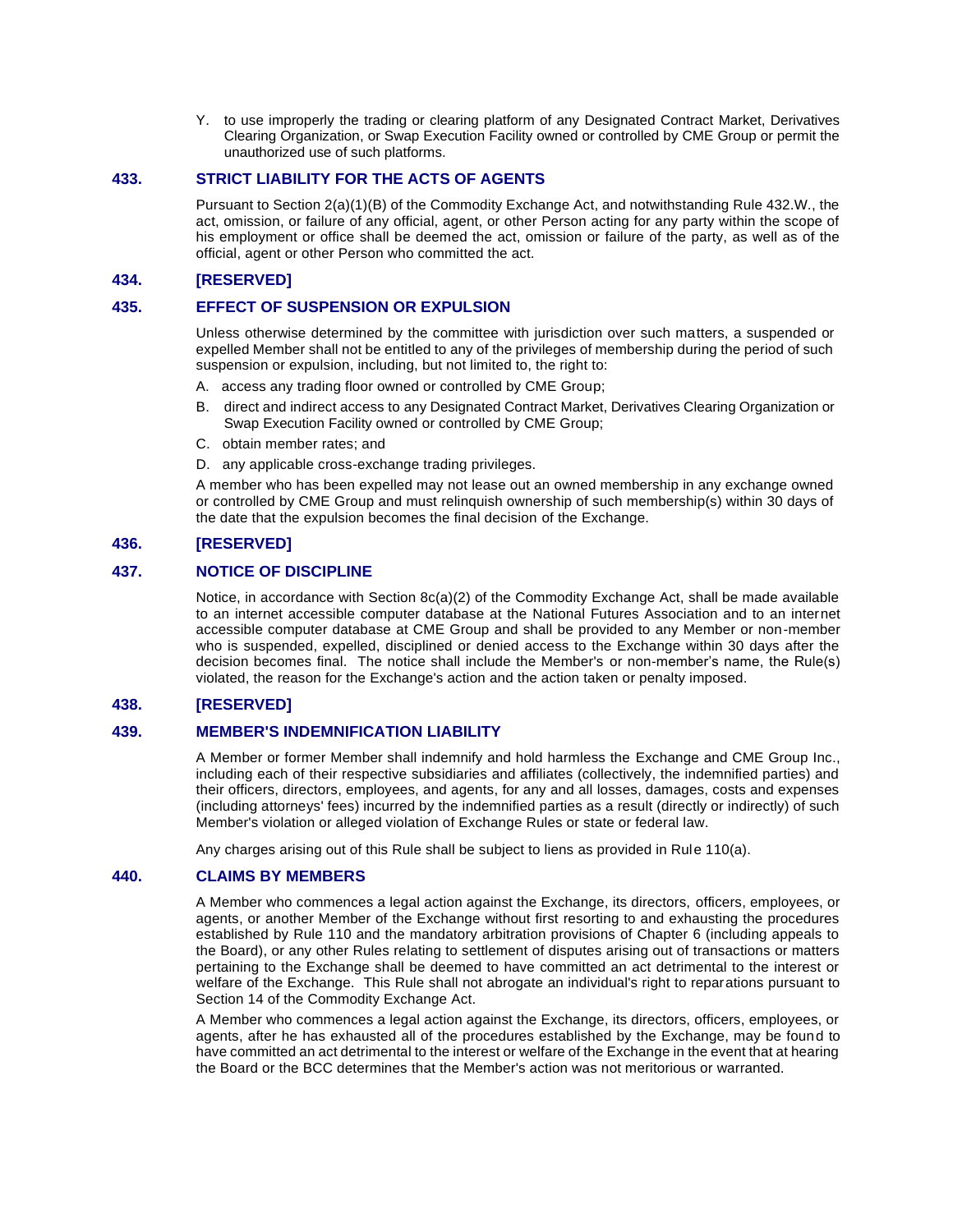Y. to use improperly the trading or clearing platform of any Designated Contract Market, Derivatives Clearing Organization, or Swap Execution Facility owned or controlled by CME Group or permit the unauthorized use of such platforms.

# **433. STRICT LIABILITY FOR THE ACTS OF AGENTS**

Pursuant to Section 2(a)(1)(B) of the Commodity Exchange Act, and notwithstanding Rule 432.W., the act, omission, or failure of any official, agent, or other Person acting for any party within the scope of his employment or office shall be deemed the act, omission or failure of the party, as well as of the official, agent or other Person who committed the act.

# **434. [RESERVED]**

# **435. EFFECT OF SUSPENSION OR EXPULSION**

Unless otherwise determined by the committee with jurisdiction over such matters, a suspended or expelled Member shall not be entitled to any of the privileges of membership during the period of such suspension or expulsion, including, but not limited to, the right to:

- A. access any trading floor owned or controlled by CME Group;
- B. direct and indirect access to any Designated Contract Market, Derivatives Clearing Organization or Swap Execution Facility owned or controlled by CME Group;
- C. obtain member rates; and
- D. any applicable cross-exchange trading privileges.

A member who has been expelled may not lease out an owned membership in any exchange owned or controlled by CME Group and must relinquish ownership of such membership(s) within 30 days of the date that the expulsion becomes the final decision of the Exchange.

# **436. [RESERVED]**

# **437. NOTICE OF DISCIPLINE**

Notice, in accordance with Section 8c(a)(2) of the Commodity Exchange Act, shall be made available to an internet accessible computer database at the National Futures Association and to an internet accessible computer database at CME Group and shall be provided to any Member or non-member who is suspended, expelled, disciplined or denied access to the Exchange within 30 days after the decision becomes final. The notice shall include the Member's or non-member's name, the Rule(s) violated, the reason for the Exchange's action and the action taken or penalty imposed.

# **438. [RESERVED]**

### **439. MEMBER'S INDEMNIFICATION LIABILITY**

A Member or former Member shall indemnify and hold harmless the Exchange and CME Group Inc., including each of their respective subsidiaries and affiliates (collectively, the indemnified parties) and their officers, directors, employees, and agents, for any and all losses, damages, costs and expenses (including attorneys' fees) incurred by the indemnified parties as a result (directly or indirectly) of such Member's violation or alleged violation of Exchange Rules or state or federal law.

Any charges arising out of this Rule shall be subject to liens as provided in Rule 110(a).

### **440. CLAIMS BY MEMBERS**

A Member who commences a legal action against the Exchange, its directors, officers, employees, or agents, or another Member of the Exchange without first resorting to and exhausting the procedures established by Rule 110 and the mandatory arbitration provisions of Chapter 6 (including appeals to the Board), or any other Rules relating to settlement of disputes arising out of transactions or matters pertaining to the Exchange shall be deemed to have committed an act detrimental to the interest or welfare of the Exchange. This Rule shall not abrogate an individual's right to reparations pursuant to Section 14 of the Commodity Exchange Act.

A Member who commences a legal action against the Exchange, its directors, officers, employees, or agents, after he has exhausted all of the procedures established by the Exchange, may be found to have committed an act detrimental to the interest or welfare of the Exchange in the event that at hearing the Board or the BCC determines that the Member's action was not meritorious or warranted.